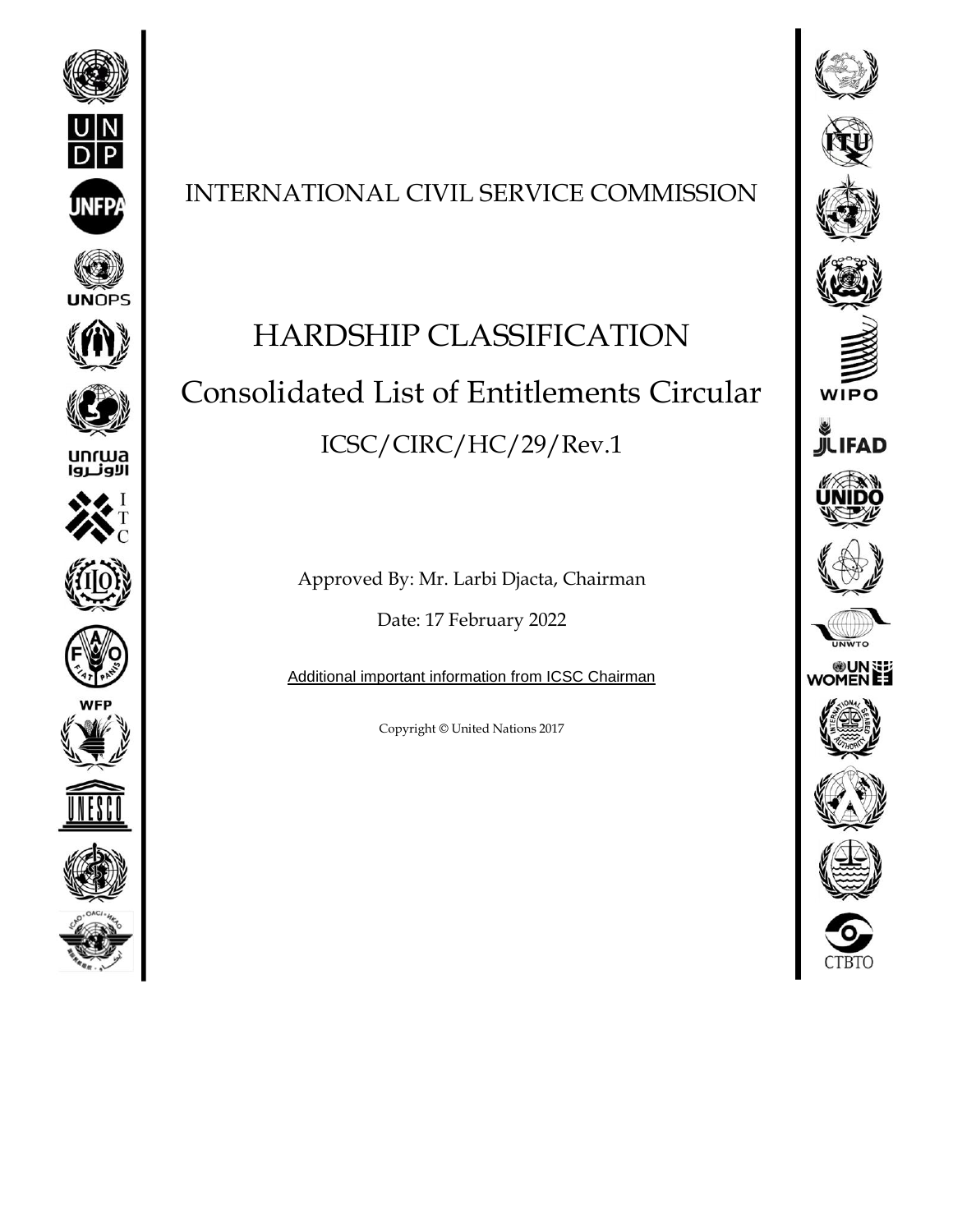

















## INTERNATIONAL CIVIL SERVICE COMMISSION

# HARDSHIP CLASSIFICATION Consolidated List of Entitlements Circular ICSC/CIRC/HC/29/Rev.1

Approved By: Mr. Larbi Djacta, Chairman

Date: 17 February 2022

[Additional important information from ICSC Chairman](https://icsc.un.org/Resources/HRPD/MobilityHardship/Add_info.pdf)

Copyright © United Nations 2017

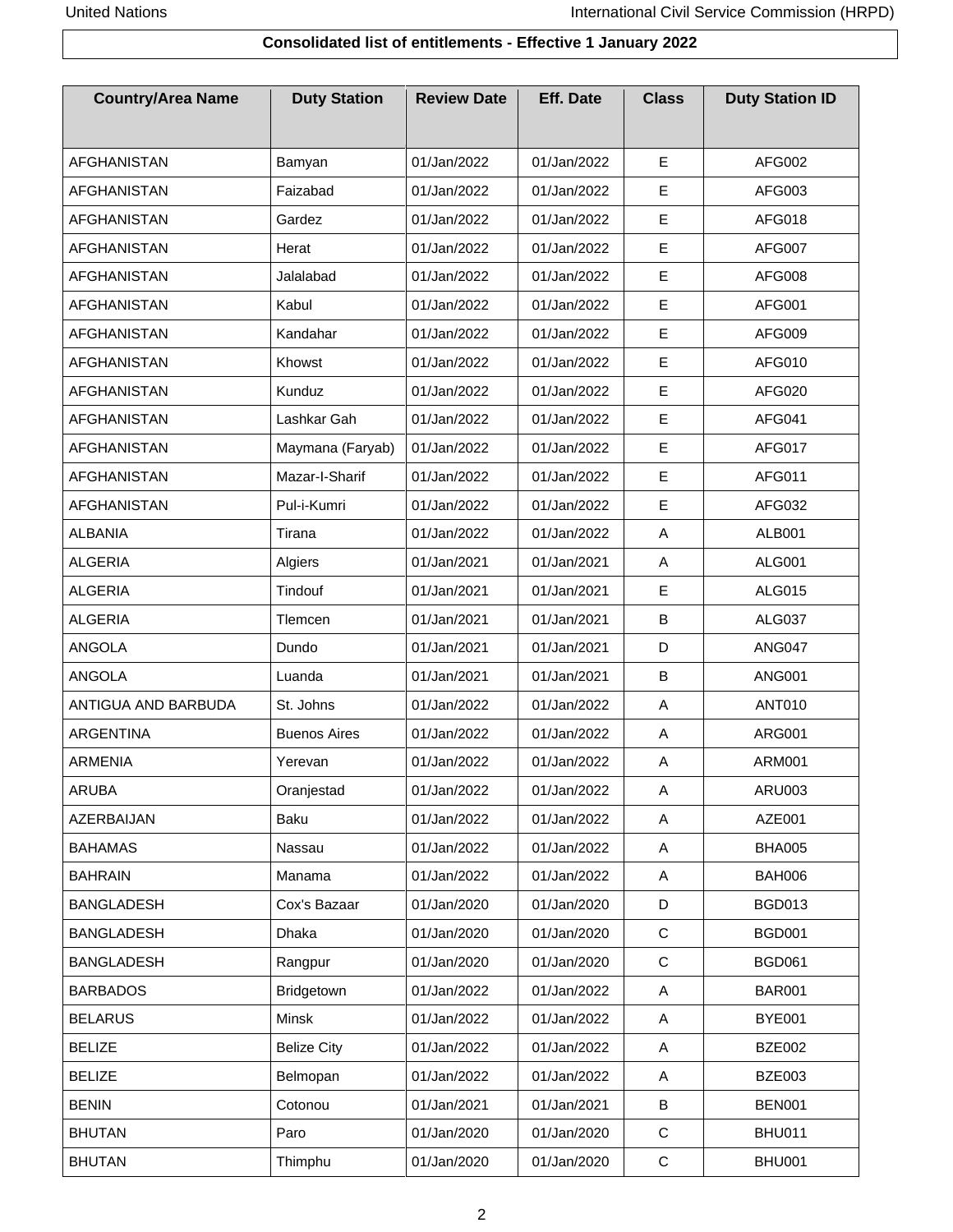#### **Consolidated list of entitlements - Effective 1 January 2022**

| <b>Country/Area Name</b> | <b>Duty Station</b> | <b>Review Date</b> | <b>Eff. Date</b> | <b>Class</b> | <b>Duty Station ID</b> |
|--------------------------|---------------------|--------------------|------------------|--------------|------------------------|
| <b>AFGHANISTAN</b>       | Bamyan              | 01/Jan/2022        | 01/Jan/2022      | E            | <b>AFG002</b>          |
| <b>AFGHANISTAN</b>       | Faizabad            | 01/Jan/2022        | 01/Jan/2022      | E            | AFG003                 |
| <b>AFGHANISTAN</b>       | Gardez              | 01/Jan/2022        | 01/Jan/2022      | E            | AFG018                 |
| <b>AFGHANISTAN</b>       | Herat               | 01/Jan/2022        | 01/Jan/2022      | $\mathsf E$  | AFG007                 |
| AFGHANISTAN              | Jalalabad           | 01/Jan/2022        | 01/Jan/2022      | E            | AFG008                 |
| <b>AFGHANISTAN</b>       | Kabul               | 01/Jan/2022        | 01/Jan/2022      | E            | AFG001                 |
| <b>AFGHANISTAN</b>       | Kandahar            | 01/Jan/2022        | 01/Jan/2022      | E            | AFG009                 |
| <b>AFGHANISTAN</b>       | Khowst              | 01/Jan/2022        | 01/Jan/2022      | E            | AFG010                 |
| AFGHANISTAN              | Kunduz              | 01/Jan/2022        | 01/Jan/2022      | E            | AFG020                 |
| AFGHANISTAN              | Lashkar Gah         | 01/Jan/2022        | 01/Jan/2022      | E            | AFG041                 |
| AFGHANISTAN              | Maymana (Faryab)    | 01/Jan/2022        | 01/Jan/2022      | E            | <b>AFG017</b>          |
| <b>AFGHANISTAN</b>       | Mazar-I-Sharif      | 01/Jan/2022        | 01/Jan/2022      | E            | AFG011                 |
| AFGHANISTAN              | Pul-i-Kumri         | 01/Jan/2022        | 01/Jan/2022      | E            | AFG032                 |
| <b>ALBANIA</b>           | Tirana              | 01/Jan/2022        | 01/Jan/2022      | Α            | <b>ALB001</b>          |
| <b>ALGERIA</b>           | Algiers             | 01/Jan/2021        | 01/Jan/2021      | Α            | <b>ALG001</b>          |
| <b>ALGERIA</b>           | Tindouf             | 01/Jan/2021        | 01/Jan/2021      | E            | <b>ALG015</b>          |
| <b>ALGERIA</b>           | Tlemcen             | 01/Jan/2021        | 01/Jan/2021      | B            | <b>ALG037</b>          |
| <b>ANGOLA</b>            | Dundo               | 01/Jan/2021        | 01/Jan/2021      | D            | ANG047                 |
| ANGOLA                   | Luanda              | 01/Jan/2021        | 01/Jan/2021      | B            | <b>ANG001</b>          |
| ANTIGUA AND BARBUDA      | St. Johns           | 01/Jan/2022        | 01/Jan/2022      | Α            | <b>ANT010</b>          |
| ARGENTINA                | <b>Buenos Aires</b> | 01/Jan/2022        | 01/Jan/2022      | Α            | <b>ARG001</b>          |
| <b>ARMENIA</b>           | Yerevan             | 01/Jan/2022        | 01/Jan/2022      | Α            | <b>ARM001</b>          |
| <b>ARUBA</b>             | Oranjestad          | 01/Jan/2022        | 01/Jan/2022      | Α            | <b>ARU003</b>          |
| AZERBAIJAN               | Baku                | 01/Jan/2022        | 01/Jan/2022      | Α            | AZE001                 |
| <b>BAHAMAS</b>           | Nassau              | 01/Jan/2022        | 01/Jan/2022      | Α            | <b>BHA005</b>          |
| <b>BAHRAIN</b>           | Manama              | 01/Jan/2022        | 01/Jan/2022      | A            | <b>BAH006</b>          |
| <b>BANGLADESH</b>        | Cox's Bazaar        | 01/Jan/2020        | 01/Jan/2020      | D            | <b>BGD013</b>          |
| <b>BANGLADESH</b>        | <b>Dhaka</b>        | 01/Jan/2020        | 01/Jan/2020      | $\mathsf{C}$ | <b>BGD001</b>          |
| <b>BANGLADESH</b>        | Rangpur             | 01/Jan/2020        | 01/Jan/2020      | $\mathsf{C}$ | <b>BGD061</b>          |
| <b>BARBADOS</b>          | Bridgetown          | 01/Jan/2022        | 01/Jan/2022      | A            | <b>BAR001</b>          |
| <b>BELARUS</b>           | Minsk               | 01/Jan/2022        | 01/Jan/2022      | Α            | <b>BYE001</b>          |
| <b>BELIZE</b>            | <b>Belize City</b>  | 01/Jan/2022        | 01/Jan/2022      | Α            | <b>BZE002</b>          |
| <b>BELIZE</b>            | Belmopan            | 01/Jan/2022        | 01/Jan/2022      | Α            | <b>BZE003</b>          |
| <b>BENIN</b>             | Cotonou             | 01/Jan/2021        | 01/Jan/2021      | B            | <b>BEN001</b>          |
| <b>BHUTAN</b>            | Paro                | 01/Jan/2020        | 01/Jan/2020      | C            | <b>BHU011</b>          |
| <b>BHUTAN</b>            | Thimphu             | 01/Jan/2020        | 01/Jan/2020      | C            | <b>BHU001</b>          |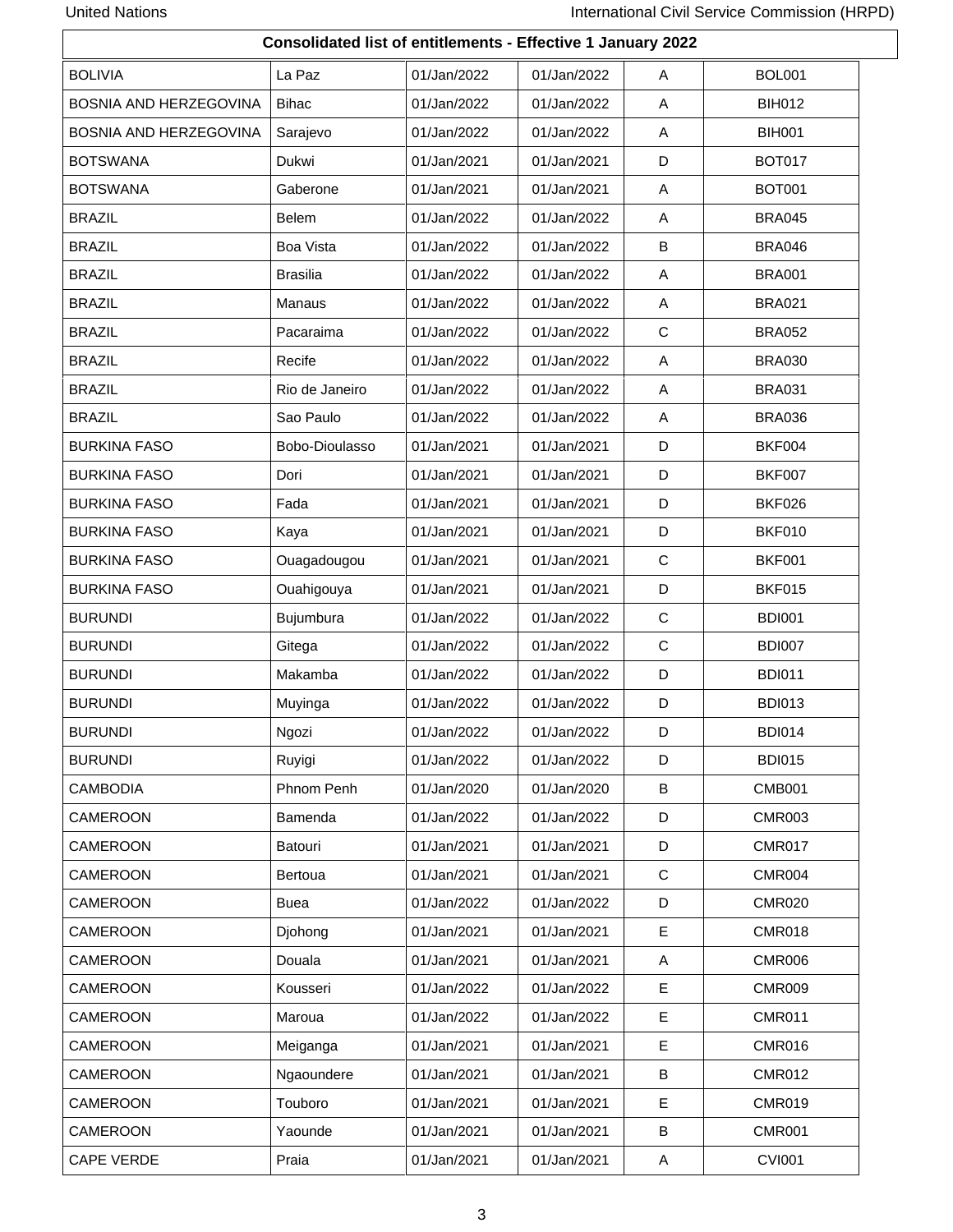$\mathsf{r}$ 

|                        | Consolidated list of entitlements - Effective 1 January 2022 |             |             |             |               |
|------------------------|--------------------------------------------------------------|-------------|-------------|-------------|---------------|
| <b>BOLIVIA</b>         | La Paz                                                       | 01/Jan/2022 | 01/Jan/2022 | A           | <b>BOL001</b> |
| BOSNIA AND HERZEGOVINA | <b>Bihac</b>                                                 | 01/Jan/2022 | 01/Jan/2022 | A           | <b>BIH012</b> |
| BOSNIA AND HERZEGOVINA | Sarajevo                                                     | 01/Jan/2022 | 01/Jan/2022 | A           | <b>BIH001</b> |
| <b>BOTSWANA</b>        | Dukwi                                                        | 01/Jan/2021 | 01/Jan/2021 | D           | <b>BOT017</b> |
| <b>BOTSWANA</b>        | Gaberone                                                     | 01/Jan/2021 | 01/Jan/2021 | A           | <b>BOT001</b> |
| <b>BRAZIL</b>          | <b>Belem</b>                                                 | 01/Jan/2022 | 01/Jan/2022 | Α           | <b>BRA045</b> |
| <b>BRAZIL</b>          | <b>Boa Vista</b>                                             | 01/Jan/2022 | 01/Jan/2022 | B           | <b>BRA046</b> |
| <b>BRAZIL</b>          | <b>Brasilia</b>                                              | 01/Jan/2022 | 01/Jan/2022 | Α           | <b>BRA001</b> |
| <b>BRAZIL</b>          | Manaus                                                       | 01/Jan/2022 | 01/Jan/2022 | A           | <b>BRA021</b> |
| <b>BRAZIL</b>          | Pacaraima                                                    | 01/Jan/2022 | 01/Jan/2022 | C           | <b>BRA052</b> |
| <b>BRAZIL</b>          | Recife                                                       | 01/Jan/2022 | 01/Jan/2022 | A           | <b>BRA030</b> |
| <b>BRAZIL</b>          | Rio de Janeiro                                               | 01/Jan/2022 | 01/Jan/2022 | Α           | <b>BRA031</b> |
| <b>BRAZIL</b>          | Sao Paulo                                                    | 01/Jan/2022 | 01/Jan/2022 | Α           | <b>BRA036</b> |
| <b>BURKINA FASO</b>    | Bobo-Dioulasso                                               | 01/Jan/2021 | 01/Jan/2021 | D           | <b>BKF004</b> |
| <b>BURKINA FASO</b>    | Dori                                                         | 01/Jan/2021 | 01/Jan/2021 | D           | <b>BKF007</b> |
| <b>BURKINA FASO</b>    | Fada                                                         | 01/Jan/2021 | 01/Jan/2021 | D           | <b>BKF026</b> |
| <b>BURKINA FASO</b>    | Kaya                                                         | 01/Jan/2021 | 01/Jan/2021 | D           | <b>BKF010</b> |
| <b>BURKINA FASO</b>    | Ouagadougou                                                  | 01/Jan/2021 | 01/Jan/2021 | $\mathbf C$ | <b>BKF001</b> |
| <b>BURKINA FASO</b>    | Ouahigouya                                                   | 01/Jan/2021 | 01/Jan/2021 | D           | <b>BKF015</b> |
| <b>BURUNDI</b>         | Bujumbura                                                    | 01/Jan/2022 | 01/Jan/2022 | $\mathbf C$ | <b>BDI001</b> |
| <b>BURUNDI</b>         | Gitega                                                       | 01/Jan/2022 | 01/Jan/2022 | $\mathbf C$ | <b>BDI007</b> |
| <b>BURUNDI</b>         | Makamba                                                      | 01/Jan/2022 | 01/Jan/2022 | D           | <b>BDI011</b> |
| <b>BURUNDI</b>         | Muyinga                                                      | 01/Jan/2022 | 01/Jan/2022 | D           | <b>BDI013</b> |
| <b>BURUNDI</b>         | Ngozi                                                        | 01/Jan/2022 | 01/Jan/2022 | D.          | <b>BDI014</b> |
| <b>BURUNDI</b>         | Ruyigi                                                       | 01/Jan/2022 | 01/Jan/2022 | D           | <b>BDI015</b> |
| <b>CAMBODIA</b>        | Phnom Penh                                                   | 01/Jan/2020 | 01/Jan/2020 | В           | <b>CMB001</b> |
| CAMEROON               | Bamenda                                                      | 01/Jan/2022 | 01/Jan/2022 | D           | <b>CMR003</b> |
| CAMEROON               | Batouri                                                      | 01/Jan/2021 | 01/Jan/2021 | D           | <b>CMR017</b> |
| CAMEROON               | Bertoua                                                      | 01/Jan/2021 | 01/Jan/2021 | $\mathbf C$ | <b>CMR004</b> |
| CAMEROON               | <b>Buea</b>                                                  | 01/Jan/2022 | 01/Jan/2022 | D           | <b>CMR020</b> |
| <b>CAMEROON</b>        | Djohong                                                      | 01/Jan/2021 | 01/Jan/2021 | Е           | <b>CMR018</b> |
| CAMEROON               | Douala                                                       | 01/Jan/2021 | 01/Jan/2021 | A           | <b>CMR006</b> |
| <b>CAMEROON</b>        | Kousseri                                                     | 01/Jan/2022 | 01/Jan/2022 | Е           | <b>CMR009</b> |
| CAMEROON               | Maroua                                                       | 01/Jan/2022 | 01/Jan/2022 | E           | <b>CMR011</b> |
| <b>CAMEROON</b>        | Meiganga                                                     | 01/Jan/2021 | 01/Jan/2021 | Е           | <b>CMR016</b> |
| <b>CAMEROON</b>        | Ngaoundere                                                   | 01/Jan/2021 | 01/Jan/2021 | B           | <b>CMR012</b> |
| <b>CAMEROON</b>        | Touboro                                                      | 01/Jan/2021 | 01/Jan/2021 | Е           | <b>CMR019</b> |
| CAMEROON               | Yaounde                                                      | 01/Jan/2021 | 01/Jan/2021 | B           | <b>CMR001</b> |
| <b>CAPE VERDE</b>      | Praia                                                        | 01/Jan/2021 | 01/Jan/2021 | A           | <b>CVI001</b> |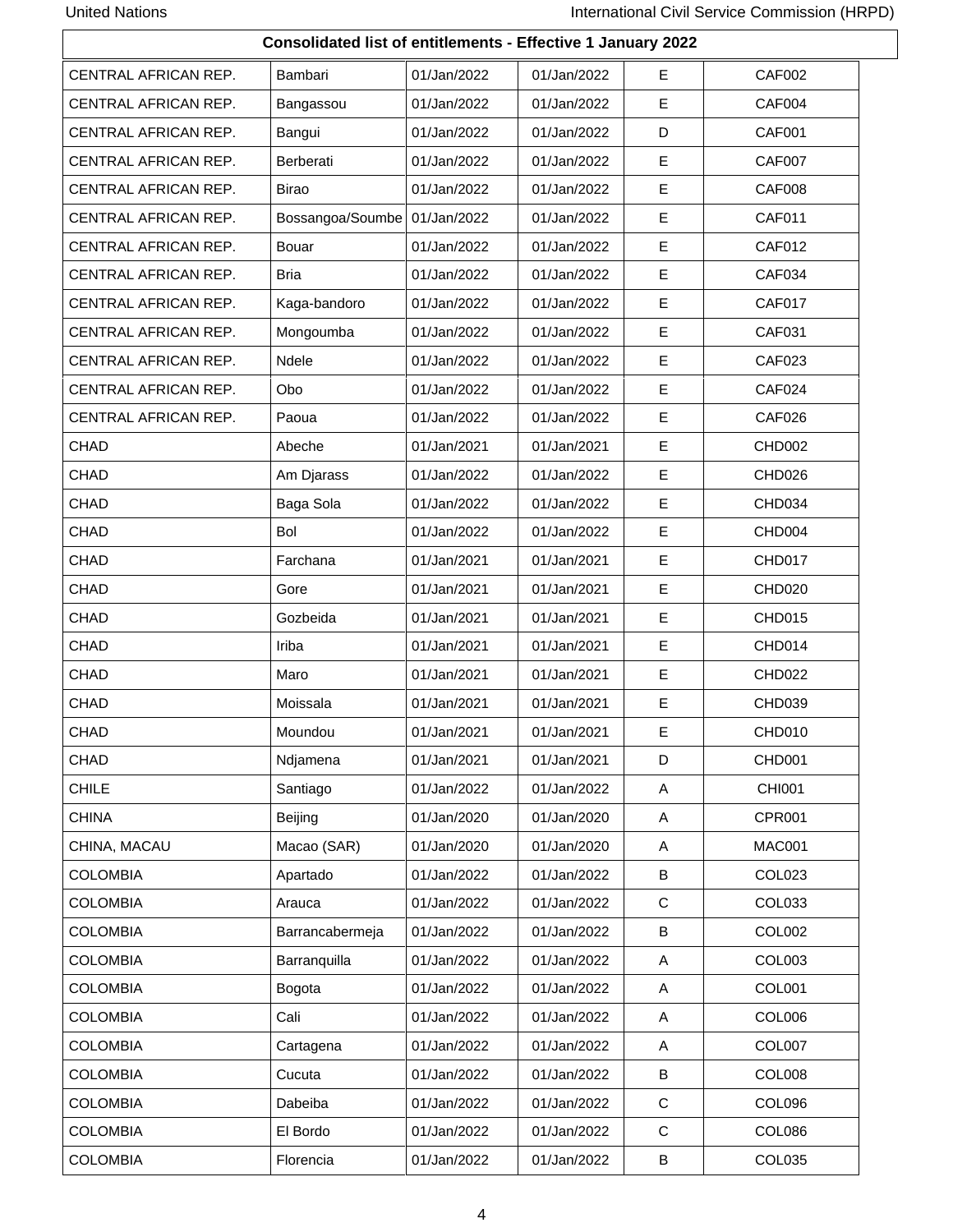|                      | Consolidated list of entitlements - Effective 1 January 2022 |             |             |             |                    |
|----------------------|--------------------------------------------------------------|-------------|-------------|-------------|--------------------|
| CENTRAL AFRICAN REP. | Bambari                                                      | 01/Jan/2022 | 01/Jan/2022 | E           | <b>CAF002</b>      |
| CENTRAL AFRICAN REP. | Bangassou                                                    | 01/Jan/2022 | 01/Jan/2022 | E           | CAF004             |
| CENTRAL AFRICAN REP. | Bangui                                                       | 01/Jan/2022 | 01/Jan/2022 | D           | <b>CAF001</b>      |
| CENTRAL AFRICAN REP. | Berberati                                                    | 01/Jan/2022 | 01/Jan/2022 | E           | <b>CAF007</b>      |
| CENTRAL AFRICAN REP. | <b>Birao</b>                                                 | 01/Jan/2022 | 01/Jan/2022 | E           | <b>CAF008</b>      |
| CENTRAL AFRICAN REP. | Bossangoa/Soumbe                                             | 01/Jan/2022 | 01/Jan/2022 | E           | <b>CAF011</b>      |
| CENTRAL AFRICAN REP. | Bouar                                                        | 01/Jan/2022 | 01/Jan/2022 | Е           | <b>CAF012</b>      |
| CENTRAL AFRICAN REP. | <b>Bria</b>                                                  | 01/Jan/2022 | 01/Jan/2022 | E           | <b>CAF034</b>      |
| CENTRAL AFRICAN REP. | Kaga-bandoro                                                 | 01/Jan/2022 | 01/Jan/2022 | E           | <b>CAF017</b>      |
| CENTRAL AFRICAN REP. | Mongoumba                                                    | 01/Jan/2022 | 01/Jan/2022 | E           | <b>CAF031</b>      |
| CENTRAL AFRICAN REP. | Ndele                                                        | 01/Jan/2022 | 01/Jan/2022 | E           | CAF023             |
| CENTRAL AFRICAN REP. | Obo                                                          | 01/Jan/2022 | 01/Jan/2022 | Е           | CAF024             |
| CENTRAL AFRICAN REP. | Paoua                                                        | 01/Jan/2022 | 01/Jan/2022 | E           | <b>CAF026</b>      |
| CHAD                 | Abeche                                                       | 01/Jan/2021 | 01/Jan/2021 | E           | CHD002             |
| CHAD                 | Am Djarass                                                   | 01/Jan/2022 | 01/Jan/2022 | E           | CHD026             |
| CHAD                 | Baga Sola                                                    | 01/Jan/2022 | 01/Jan/2022 | E           | CHD034             |
| CHAD                 | Bol                                                          | 01/Jan/2022 | 01/Jan/2022 | E           | CHD004             |
| CHAD                 | Farchana                                                     | 01/Jan/2021 | 01/Jan/2021 | E           | CHD017             |
| CHAD                 | Gore                                                         | 01/Jan/2021 | 01/Jan/2021 | E           | CHD020             |
| CHAD                 | Gozbeida                                                     | 01/Jan/2021 | 01/Jan/2021 | Е           | CHD015             |
| CHAD                 | Iriba                                                        | 01/Jan/2021 | 01/Jan/2021 | E           | CHD014             |
| CHAD                 | Maro                                                         | 01/Jan/2021 | 01/Jan/2021 | E           | CHD <sub>022</sub> |
| CHAD                 | Moissala                                                     | 01/Jan/2021 | 01/Jan/2021 | Е           | <b>CHD039</b>      |
| CHAD                 | Moundou                                                      | 01/Jan/2021 | 01/Jan/2021 | E           | CHD010             |
| CHAD                 | Ndjamena                                                     | 01/Jan/2021 | 01/Jan/2021 | D           | CHD001             |
| <b>CHILE</b>         | Santiago                                                     | 01/Jan/2022 | 01/Jan/2022 | A           | <b>CHI001</b>      |
| <b>CHINA</b>         | Beijing                                                      | 01/Jan/2020 | 01/Jan/2020 | A           | <b>CPR001</b>      |
| CHINA, MACAU         | Macao (SAR)                                                  | 01/Jan/2020 | 01/Jan/2020 | Α           | <b>MAC001</b>      |
| <b>COLOMBIA</b>      | Apartado                                                     | 01/Jan/2022 | 01/Jan/2022 | В           | COL023             |
| <b>COLOMBIA</b>      | Arauca                                                       | 01/Jan/2022 | 01/Jan/2022 | $\mathbf C$ | <b>COL033</b>      |
| <b>COLOMBIA</b>      | Barrancabermeja                                              | 01/Jan/2022 | 01/Jan/2022 | В           | COL002             |
| <b>COLOMBIA</b>      | Barranquilla                                                 | 01/Jan/2022 | 01/Jan/2022 | Α           | COL003             |
| <b>COLOMBIA</b>      | Bogota                                                       | 01/Jan/2022 | 01/Jan/2022 | Α           | COL001             |
| <b>COLOMBIA</b>      | Cali                                                         | 01/Jan/2022 | 01/Jan/2022 | Α           | COL006             |
| <b>COLOMBIA</b>      | Cartagena                                                    | 01/Jan/2022 | 01/Jan/2022 | Α           | COL007             |
| <b>COLOMBIA</b>      | Cucuta                                                       | 01/Jan/2022 | 01/Jan/2022 | В           | COL008             |
| <b>COLOMBIA</b>      | Dabeiba                                                      | 01/Jan/2022 | 01/Jan/2022 | $\mathbf C$ | COL096             |
| <b>COLOMBIA</b>      | El Bordo                                                     | 01/Jan/2022 | 01/Jan/2022 | C           | COL086             |
| <b>COLOMBIA</b>      | Florencia                                                    | 01/Jan/2022 | 01/Jan/2022 | В           | COL035             |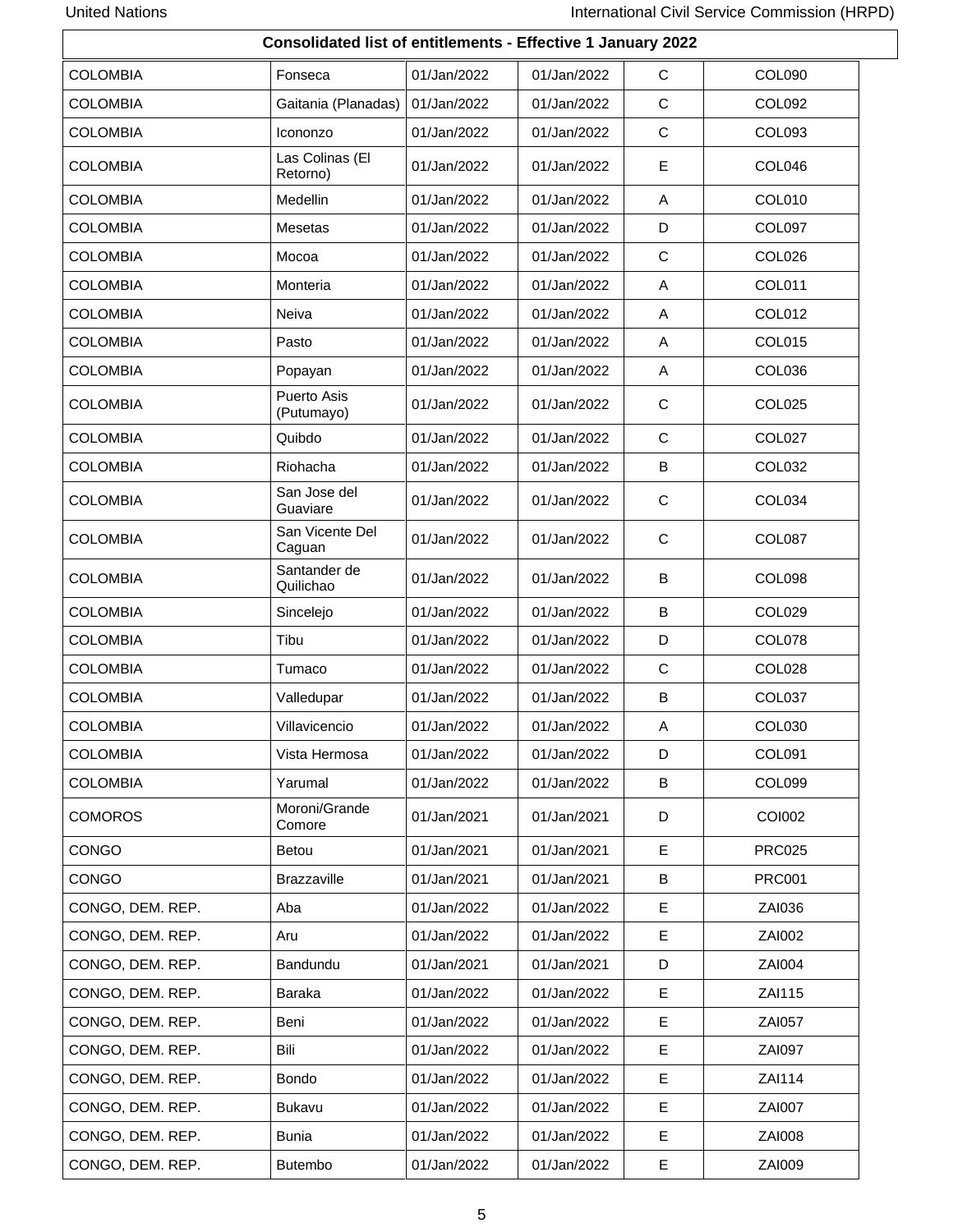| Consolidated list of entitlements - Effective 1 January 2022 |                             |             |             |              |               |  |  |
|--------------------------------------------------------------|-----------------------------|-------------|-------------|--------------|---------------|--|--|
| <b>COLOMBIA</b>                                              | Fonseca                     | 01/Jan/2022 | 01/Jan/2022 | С            | <b>COL090</b> |  |  |
| <b>COLOMBIA</b>                                              | Gaitania (Planadas)         | 01/Jan/2022 | 01/Jan/2022 | C            | COL092        |  |  |
| <b>COLOMBIA</b>                                              | Icononzo                    | 01/Jan/2022 | 01/Jan/2022 | С            | COL093        |  |  |
| <b>COLOMBIA</b>                                              | Las Colinas (El<br>Retorno) | 01/Jan/2022 | 01/Jan/2022 | E            | COL046        |  |  |
| <b>COLOMBIA</b>                                              | Medellin                    | 01/Jan/2022 | 01/Jan/2022 | Α            | COL010        |  |  |
| <b>COLOMBIA</b>                                              | Mesetas                     | 01/Jan/2022 | 01/Jan/2022 | D            | COL097        |  |  |
| <b>COLOMBIA</b>                                              | Mocoa                       | 01/Jan/2022 | 01/Jan/2022 | $\mathsf{C}$ | COL026        |  |  |
| <b>COLOMBIA</b>                                              | Monteria                    | 01/Jan/2022 | 01/Jan/2022 | Α            | COL011        |  |  |
| <b>COLOMBIA</b>                                              | Neiva                       | 01/Jan/2022 | 01/Jan/2022 | Α            | COL012        |  |  |
| <b>COLOMBIA</b>                                              | Pasto                       | 01/Jan/2022 | 01/Jan/2022 | Α            | COL015        |  |  |
| <b>COLOMBIA</b>                                              | Popayan                     | 01/Jan/2022 | 01/Jan/2022 | Α            | COL036        |  |  |
| <b>COLOMBIA</b>                                              | Puerto Asis<br>(Putumayo)   | 01/Jan/2022 | 01/Jan/2022 | С            | COL025        |  |  |
| <b>COLOMBIA</b>                                              | Quibdo                      | 01/Jan/2022 | 01/Jan/2022 | C            | COL027        |  |  |
| <b>COLOMBIA</b>                                              | Riohacha                    | 01/Jan/2022 | 01/Jan/2022 | B            | <b>COL032</b> |  |  |
| <b>COLOMBIA</b>                                              | San Jose del<br>Guaviare    | 01/Jan/2022 | 01/Jan/2022 | С            | COL034        |  |  |
| <b>COLOMBIA</b>                                              | San Vicente Del<br>Caguan   | 01/Jan/2022 | 01/Jan/2022 | C            | COL087        |  |  |
| <b>COLOMBIA</b>                                              | Santander de<br>Quilichao   | 01/Jan/2022 | 01/Jan/2022 | В            | COL098        |  |  |
| <b>COLOMBIA</b>                                              | Sincelejo                   | 01/Jan/2022 | 01/Jan/2022 | B            | COL029        |  |  |
| <b>COLOMBIA</b>                                              | Tibu                        | 01/Jan/2022 | 01/Jan/2022 | D            | COL078        |  |  |
| <b>COLOMBIA</b>                                              | Tumaco                      | 01/Jan/2022 | 01/Jan/2022 | С            | COL028        |  |  |
| <b>COLOMBIA</b>                                              | Valledupar                  | 01/Jan/2022 | 01/Jan/2022 | В            | COL037        |  |  |
| <b>COLOMBIA</b>                                              | Villavicencio               | 01/Jan/2022 | 01/Jan/2022 | A            | COL030        |  |  |
| <b>COLOMBIA</b>                                              | Vista Hermosa               | 01/Jan/2022 | 01/Jan/2022 | D            | COL091        |  |  |
| <b>COLOMBIA</b>                                              | Yarumal                     | 01/Jan/2022 | 01/Jan/2022 | B            | COL099        |  |  |
| <b>COMOROS</b>                                               | Moroni/Grande<br>Comore     | 01/Jan/2021 | 01/Jan/2021 | D            | <b>COI002</b> |  |  |
| <b>CONGO</b>                                                 | Betou                       | 01/Jan/2021 | 01/Jan/2021 | Е            | <b>PRC025</b> |  |  |
| <b>CONGO</b>                                                 | <b>Brazzaville</b>          | 01/Jan/2021 | 01/Jan/2021 | В            | <b>PRC001</b> |  |  |
| CONGO, DEM. REP.                                             | Aba                         | 01/Jan/2022 | 01/Jan/2022 | E            | ZAI036        |  |  |
| CONGO, DEM. REP.                                             | Aru                         | 01/Jan/2022 | 01/Jan/2022 | E            | ZAI002        |  |  |
| CONGO, DEM. REP.                                             | Bandundu                    | 01/Jan/2021 | 01/Jan/2021 | D            | ZAI004        |  |  |
| CONGO, DEM. REP.                                             | Baraka                      | 01/Jan/2022 | 01/Jan/2022 | E            | ZAI115        |  |  |
| CONGO, DEM. REP.                                             | Beni                        | 01/Jan/2022 | 01/Jan/2022 | E            | <b>ZAI057</b> |  |  |
| CONGO, DEM. REP.                                             | Bili                        | 01/Jan/2022 | 01/Jan/2022 | E            | <b>ZAI097</b> |  |  |
| CONGO, DEM. REP.                                             | Bondo                       | 01/Jan/2022 | 01/Jan/2022 | E            | ZAI114        |  |  |
| CONGO, DEM. REP.                                             | <b>Bukavu</b>               | 01/Jan/2022 | 01/Jan/2022 | Е            | <b>ZAI007</b> |  |  |
| CONGO, DEM. REP.                                             | <b>Bunia</b>                | 01/Jan/2022 | 01/Jan/2022 | Е            | <b>ZAI008</b> |  |  |
| CONGO, DEM. REP.                                             | Butembo                     | 01/Jan/2022 | 01/Jan/2022 | E            | ZAI009        |  |  |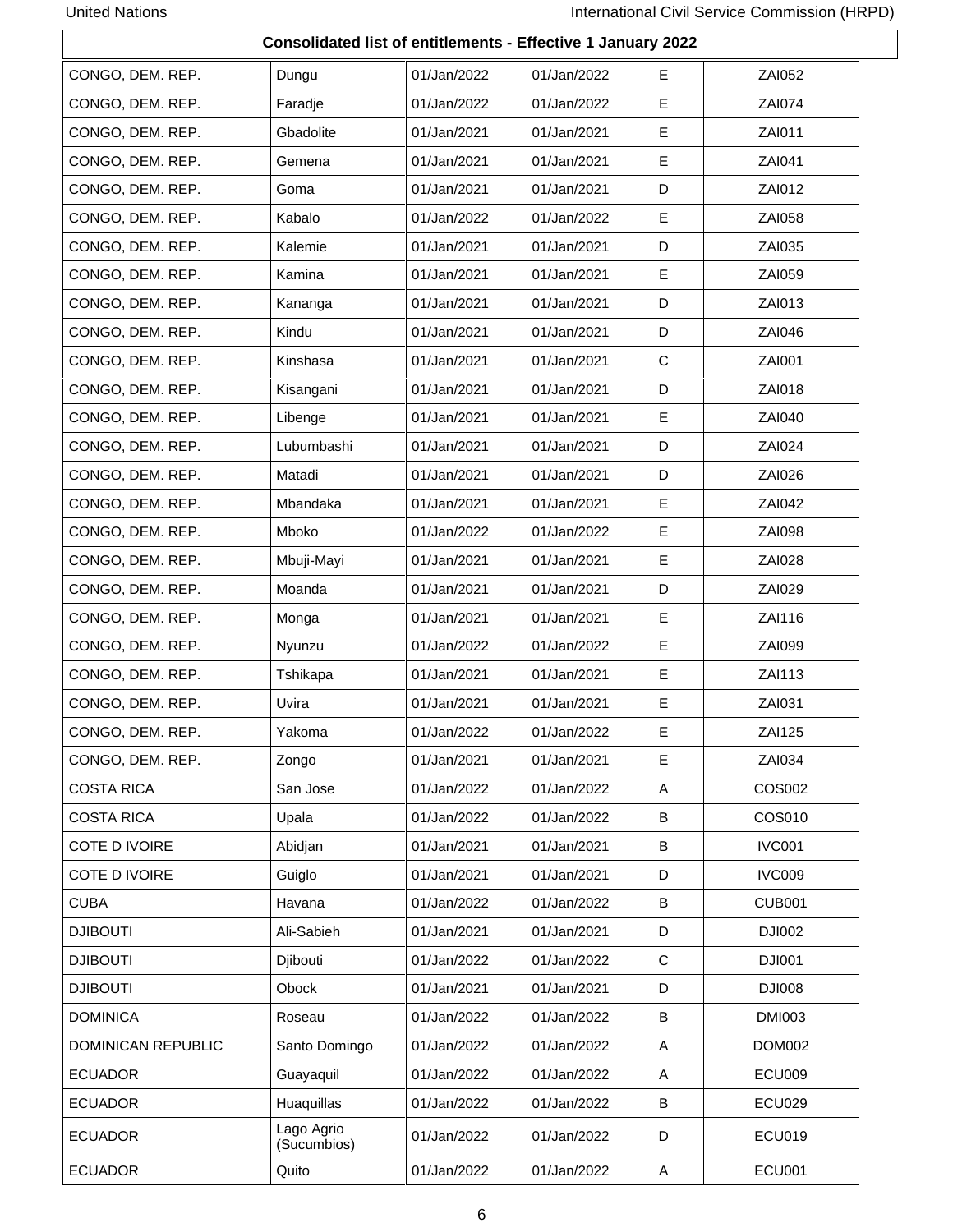| Consolidated list of entitlements - Effective 1 January 2022 |                           |             |             |    |               |  |  |  |
|--------------------------------------------------------------|---------------------------|-------------|-------------|----|---------------|--|--|--|
| CONGO, DEM. REP.                                             | Dungu                     | 01/Jan/2022 | 01/Jan/2022 | E. | ZAI052        |  |  |  |
| CONGO, DEM. REP.                                             | Faradje                   | 01/Jan/2022 | 01/Jan/2022 | Е  | <b>ZAI074</b> |  |  |  |
| CONGO, DEM. REP.                                             | Gbadolite                 | 01/Jan/2021 | 01/Jan/2021 | E  | ZAI011        |  |  |  |
| CONGO, DEM. REP.                                             | Gemena                    | 01/Jan/2021 | 01/Jan/2021 | Е  | ZAI041        |  |  |  |
| CONGO, DEM. REP.                                             | Goma                      | 01/Jan/2021 | 01/Jan/2021 | D  | ZAI012        |  |  |  |
| CONGO, DEM. REP.                                             | Kabalo                    | 01/Jan/2022 | 01/Jan/2022 | E  | ZAI058        |  |  |  |
| CONGO, DEM. REP.                                             | Kalemie                   | 01/Jan/2021 | 01/Jan/2021 | D  | ZAI035        |  |  |  |
| CONGO, DEM. REP.                                             | Kamina                    | 01/Jan/2021 | 01/Jan/2021 | E  | ZAI059        |  |  |  |
| CONGO, DEM. REP.                                             | Kananga                   | 01/Jan/2021 | 01/Jan/2021 | D  | ZAI013        |  |  |  |
| CONGO, DEM. REP.                                             | Kindu                     | 01/Jan/2021 | 01/Jan/2021 | D  | ZAI046        |  |  |  |
| CONGO, DEM. REP.                                             | Kinshasa                  | 01/Jan/2021 | 01/Jan/2021 | С  | ZAI001        |  |  |  |
| CONGO, DEM. REP.                                             | Kisangani                 | 01/Jan/2021 | 01/Jan/2021 | D  | ZAI018        |  |  |  |
| CONGO, DEM. REP.                                             | Libenge                   | 01/Jan/2021 | 01/Jan/2021 | Е  | ZAI040        |  |  |  |
| CONGO, DEM. REP.                                             | Lubumbashi                | 01/Jan/2021 | 01/Jan/2021 | D  | ZAI024        |  |  |  |
| CONGO, DEM. REP.                                             | Matadi                    | 01/Jan/2021 | 01/Jan/2021 | D  | ZAI026        |  |  |  |
| CONGO, DEM. REP.                                             | Mbandaka                  | 01/Jan/2021 | 01/Jan/2021 | E  | ZAI042        |  |  |  |
| CONGO, DEM. REP.                                             | Mboko                     | 01/Jan/2022 | 01/Jan/2022 | Е  | <b>ZAI098</b> |  |  |  |
| CONGO, DEM. REP.                                             | Mbuji-Mayi                | 01/Jan/2021 | 01/Jan/2021 | Е  | <b>ZAI028</b> |  |  |  |
| CONGO, DEM. REP.                                             | Moanda                    | 01/Jan/2021 | 01/Jan/2021 | D  | ZAI029        |  |  |  |
| CONGO, DEM. REP.                                             | Monga                     | 01/Jan/2021 | 01/Jan/2021 | Е  | ZAI116        |  |  |  |
| CONGO, DEM. REP.                                             | Nyunzu                    | 01/Jan/2022 | 01/Jan/2022 | Е  | <b>ZAI099</b> |  |  |  |
| CONGO, DEM. REP.                                             | Tshikapa                  | 01/Jan/2021 | 01/Jan/2021 | Е  | ZAI113        |  |  |  |
| CONGO, DEM. REP.                                             | Uvira                     | 01/Jan/2021 | 01/Jan/2021 | E  | ZAI031        |  |  |  |
| CONGO, DEM. REP.                                             | Yakoma                    | 01/Jan/2022 | 01/Jan/2022 | E. | ZAI125        |  |  |  |
| CONGO, DEM. REP.                                             | Zongo                     | 01/Jan/2021 | 01/Jan/2021 | E  | ZAI034        |  |  |  |
| <b>COSTA RICA</b>                                            | San Jose                  | 01/Jan/2022 | 01/Jan/2022 | A  | <b>COS002</b> |  |  |  |
| <b>COSTA RICA</b>                                            | Upala                     | 01/Jan/2022 | 01/Jan/2022 | В  | COS010        |  |  |  |
| COTE D IVOIRE                                                | Abidjan                   | 01/Jan/2021 | 01/Jan/2021 | В  | <b>IVC001</b> |  |  |  |
| COTE D IVOIRE                                                | Guiglo                    | 01/Jan/2021 | 01/Jan/2021 | D  | <b>IVC009</b> |  |  |  |
| <b>CUBA</b>                                                  | Havana                    | 01/Jan/2022 | 01/Jan/2022 | В  | <b>CUB001</b> |  |  |  |
| <b>DJIBOUTI</b>                                              | Ali-Sabieh                | 01/Jan/2021 | 01/Jan/2021 | D  | DJI002        |  |  |  |
| <b>DJIBOUTI</b>                                              | Djibouti                  | 01/Jan/2022 | 01/Jan/2022 | С  | <b>DJI001</b> |  |  |  |
| <b>DJIBOUTI</b>                                              | Obock                     | 01/Jan/2021 | 01/Jan/2021 | D  | <b>DJI008</b> |  |  |  |
| <b>DOMINICA</b>                                              | Roseau                    | 01/Jan/2022 | 01/Jan/2022 | В  | <b>DMI003</b> |  |  |  |
| DOMINICAN REPUBLIC                                           | Santo Domingo             | 01/Jan/2022 | 01/Jan/2022 | A  | <b>DOM002</b> |  |  |  |
| <b>ECUADOR</b>                                               | Guayaquil                 | 01/Jan/2022 | 01/Jan/2022 | A  | <b>ECU009</b> |  |  |  |
| <b>ECUADOR</b>                                               | Huaquillas                | 01/Jan/2022 | 01/Jan/2022 | B  | <b>ECU029</b> |  |  |  |
| <b>ECUADOR</b>                                               | Lago Agrio<br>(Sucumbios) | 01/Jan/2022 | 01/Jan/2022 | D  | <b>ECU019</b> |  |  |  |
| <b>ECUADOR</b>                                               | Quito                     | 01/Jan/2022 | 01/Jan/2022 | A  | <b>ECU001</b> |  |  |  |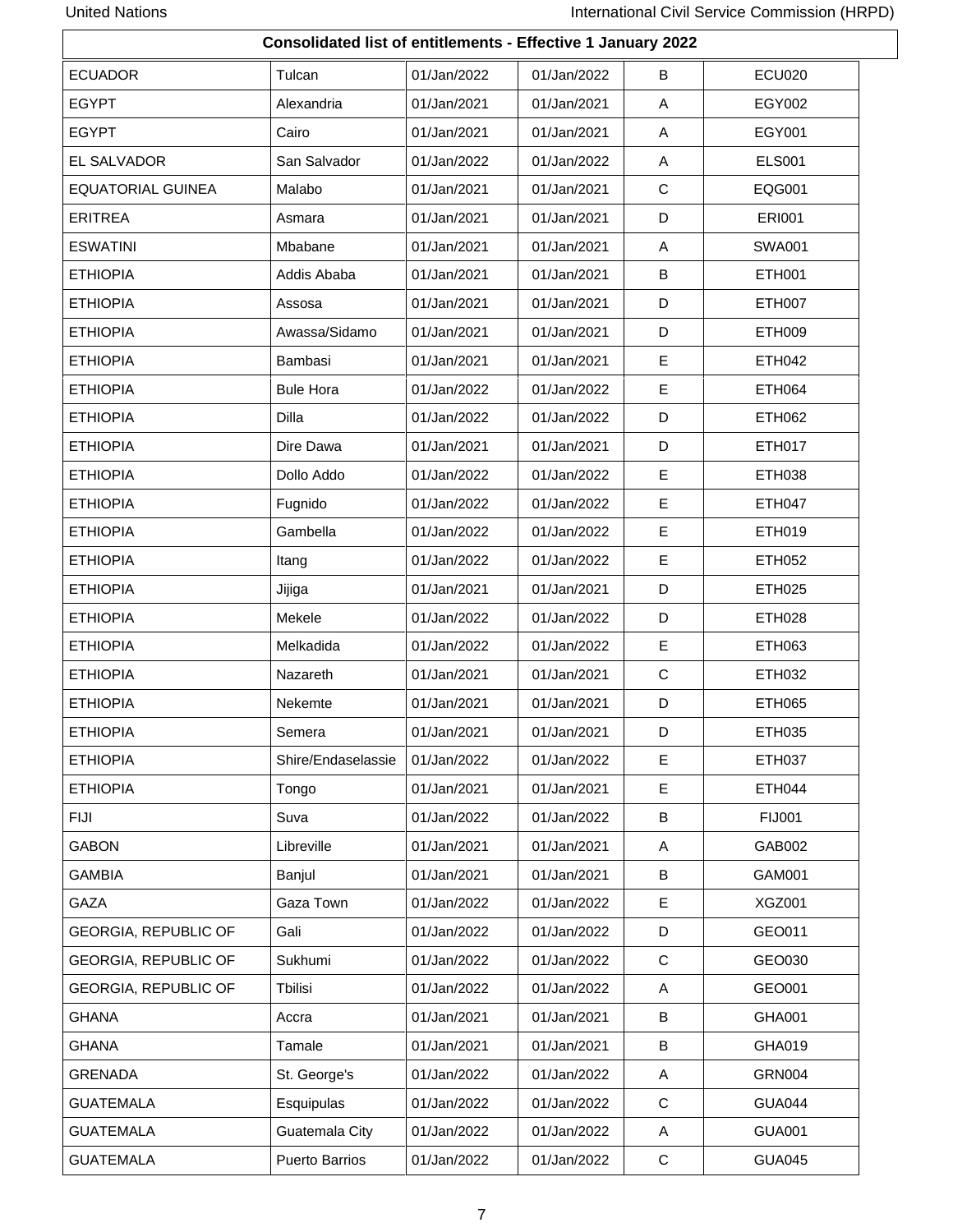|                             | <b>Consolidated list of entitlements - Effective 1 January 2022</b> |             |             |             |               |  |  |  |
|-----------------------------|---------------------------------------------------------------------|-------------|-------------|-------------|---------------|--|--|--|
| <b>ECUADOR</b>              | Tulcan                                                              | 01/Jan/2022 | 01/Jan/2022 | B           | <b>ECU020</b> |  |  |  |
| <b>EGYPT</b>                | Alexandria                                                          | 01/Jan/2021 | 01/Jan/2021 | A           | EGY002        |  |  |  |
| <b>EGYPT</b>                | Cairo                                                               | 01/Jan/2021 | 01/Jan/2021 | A           | EGY001        |  |  |  |
| EL SALVADOR                 | San Salvador                                                        | 01/Jan/2022 | 01/Jan/2022 | Α           | <b>ELS001</b> |  |  |  |
| <b>EQUATORIAL GUINEA</b>    | Malabo                                                              | 01/Jan/2021 | 01/Jan/2021 | $\mathbf C$ | EQG001        |  |  |  |
| <b>ERITREA</b>              | Asmara                                                              | 01/Jan/2021 | 01/Jan/2021 | D           | <b>ERI001</b> |  |  |  |
| <b>ESWATINI</b>             | Mbabane                                                             | 01/Jan/2021 | 01/Jan/2021 | A           | <b>SWA001</b> |  |  |  |
| <b>ETHIOPIA</b>             | Addis Ababa                                                         | 01/Jan/2021 | 01/Jan/2021 | B           | ETH001        |  |  |  |
| <b>ETHIOPIA</b>             | Assosa                                                              | 01/Jan/2021 | 01/Jan/2021 | D           | <b>ETH007</b> |  |  |  |
| <b>ETHIOPIA</b>             | Awassa/Sidamo                                                       | 01/Jan/2021 | 01/Jan/2021 | D           | <b>ETH009</b> |  |  |  |
| <b>ETHIOPIA</b>             | Bambasi                                                             | 01/Jan/2021 | 01/Jan/2021 | Е           | <b>ETH042</b> |  |  |  |
| <b>ETHIOPIA</b>             | <b>Bule Hora</b>                                                    | 01/Jan/2022 | 01/Jan/2022 | E           | <b>ETH064</b> |  |  |  |
| <b>ETHIOPIA</b>             | <b>Dilla</b>                                                        | 01/Jan/2022 | 01/Jan/2022 | D           | <b>ETH062</b> |  |  |  |
| <b>ETHIOPIA</b>             | Dire Dawa                                                           | 01/Jan/2021 | 01/Jan/2021 | D           | ETH017        |  |  |  |
| <b>ETHIOPIA</b>             | Dollo Addo                                                          | 01/Jan/2022 | 01/Jan/2022 | Е           | <b>ETH038</b> |  |  |  |
| <b>ETHIOPIA</b>             | Fugnido                                                             | 01/Jan/2022 | 01/Jan/2022 | E           | <b>ETH047</b> |  |  |  |
| <b>ETHIOPIA</b>             | Gambella                                                            | 01/Jan/2022 | 01/Jan/2022 | Е           | ETH019        |  |  |  |
| <b>ETHIOPIA</b>             | Itang                                                               | 01/Jan/2022 | 01/Jan/2022 | E           | ETH052        |  |  |  |
| <b>ETHIOPIA</b>             | Jijiga                                                              | 01/Jan/2021 | 01/Jan/2021 | D           | <b>ETH025</b> |  |  |  |
| <b>ETHIOPIA</b>             | Mekele                                                              | 01/Jan/2022 | 01/Jan/2022 | D           | <b>ETH028</b> |  |  |  |
| <b>ETHIOPIA</b>             | Melkadida                                                           | 01/Jan/2022 | 01/Jan/2022 | Е           | ETH063        |  |  |  |
| <b>ETHIOPIA</b>             | Nazareth                                                            | 01/Jan/2021 | 01/Jan/2021 | $\mathbf C$ | ETH032        |  |  |  |
| <b>ETHIOPIA</b>             | Nekemte                                                             | 01/Jan/2021 | 01/Jan/2021 | D           | ETH065        |  |  |  |
| <b>ETHIOPIA</b>             | Semera                                                              | 01/Jan/2021 | 01/Jan/2021 | D           | ETH035        |  |  |  |
| <b>ETHIOPIA</b>             | Shire/Endaselassie                                                  | 01/Jan/2022 | 01/Jan/2022 | E           | <b>ETH037</b> |  |  |  |
| <b>ETHIOPIA</b>             | Tongo                                                               | 01/Jan/2021 | 01/Jan/2021 | E           | ETH044        |  |  |  |
| <b>FIJI</b>                 | Suva                                                                | 01/Jan/2022 | 01/Jan/2022 | В           | <b>FIJ001</b> |  |  |  |
| <b>GABON</b>                | Libreville                                                          | 01/Jan/2021 | 01/Jan/2021 | A           | GAB002        |  |  |  |
| <b>GAMBIA</b>               | Banjul                                                              | 01/Jan/2021 | 01/Jan/2021 | B           | GAM001        |  |  |  |
| GAZA                        | Gaza Town                                                           | 01/Jan/2022 | 01/Jan/2022 | Е           | XGZ001        |  |  |  |
| <b>GEORGIA, REPUBLIC OF</b> | Gali                                                                | 01/Jan/2022 | 01/Jan/2022 | D           | GEO011        |  |  |  |
| <b>GEORGIA, REPUBLIC OF</b> | Sukhumi                                                             | 01/Jan/2022 | 01/Jan/2022 | C           | GEO030        |  |  |  |
| <b>GEORGIA, REPUBLIC OF</b> | Tbilisi                                                             | 01/Jan/2022 | 01/Jan/2022 | A           | GEO001        |  |  |  |
| <b>GHANA</b>                | Accra                                                               | 01/Jan/2021 | 01/Jan/2021 | В           | GHA001        |  |  |  |
| <b>GHANA</b>                | Tamale                                                              | 01/Jan/2021 | 01/Jan/2021 | В           | GHA019        |  |  |  |
| <b>GRENADA</b>              | St. George's                                                        | 01/Jan/2022 | 01/Jan/2022 | A           | <b>GRN004</b> |  |  |  |
| <b>GUATEMALA</b>            | Esquipulas                                                          | 01/Jan/2022 | 01/Jan/2022 | C           | <b>GUA044</b> |  |  |  |
| <b>GUATEMALA</b>            | Guatemala City                                                      | 01/Jan/2022 | 01/Jan/2022 | A           | <b>GUA001</b> |  |  |  |
| <b>GUATEMALA</b>            | <b>Puerto Barrios</b>                                               | 01/Jan/2022 | 01/Jan/2022 | $\mathbf C$ | <b>GUA045</b> |  |  |  |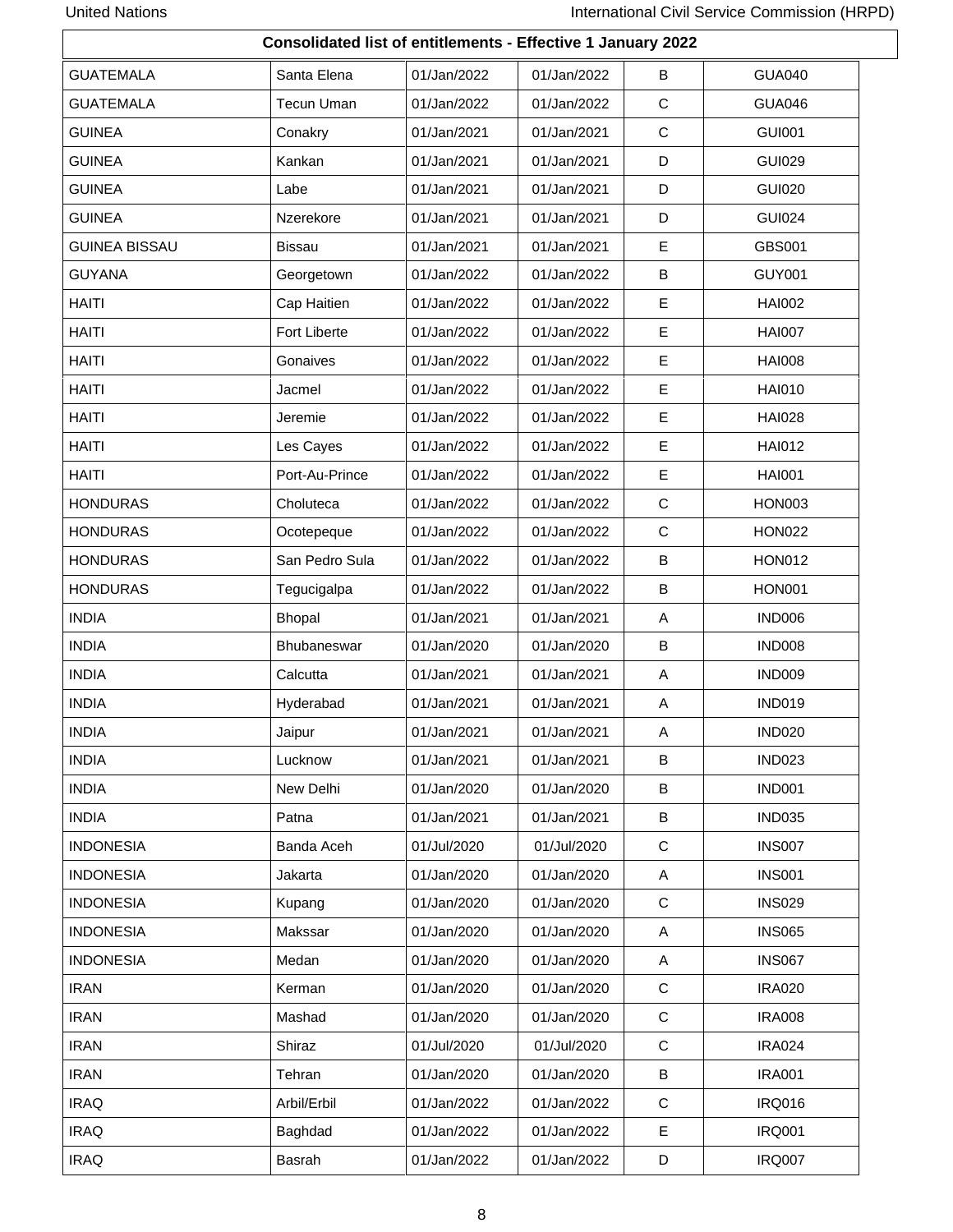|                      | <b>Consolidated list of entitlements - Effective 1 January 2022</b> |             |             |             |               |  |  |  |  |
|----------------------|---------------------------------------------------------------------|-------------|-------------|-------------|---------------|--|--|--|--|
| <b>GUATEMALA</b>     | Santa Elena                                                         | 01/Jan/2022 | 01/Jan/2022 | B           | <b>GUA040</b> |  |  |  |  |
| <b>GUATEMALA</b>     | <b>Tecun Uman</b>                                                   | 01/Jan/2022 | 01/Jan/2022 | C           | <b>GUA046</b> |  |  |  |  |
| <b>GUINEA</b>        | Conakry                                                             | 01/Jan/2021 | 01/Jan/2021 | C           | <b>GUI001</b> |  |  |  |  |
| <b>GUINEA</b>        | Kankan                                                              | 01/Jan/2021 | 01/Jan/2021 | D           | <b>GUI029</b> |  |  |  |  |
| <b>GUINEA</b>        | Labe                                                                | 01/Jan/2021 | 01/Jan/2021 | D           | <b>GUI020</b> |  |  |  |  |
| <b>GUINEA</b>        | Nzerekore                                                           | 01/Jan/2021 | 01/Jan/2021 | D           | <b>GUI024</b> |  |  |  |  |
| <b>GUINEA BISSAU</b> | <b>Bissau</b>                                                       | 01/Jan/2021 | 01/Jan/2021 | E           | <b>GBS001</b> |  |  |  |  |
| <b>GUYANA</b>        | Georgetown                                                          | 01/Jan/2022 | 01/Jan/2022 | B           | <b>GUY001</b> |  |  |  |  |
| <b>HAITI</b>         | Cap Haitien                                                         | 01/Jan/2022 | 01/Jan/2022 | E           | <b>HAI002</b> |  |  |  |  |
| <b>HAITI</b>         | Fort Liberte                                                        | 01/Jan/2022 | 01/Jan/2022 | E           | <b>HAI007</b> |  |  |  |  |
| <b>HAITI</b>         | Gonaives                                                            | 01/Jan/2022 | 01/Jan/2022 | $\mathsf E$ | <b>HAI008</b> |  |  |  |  |
| <b>HAITI</b>         | Jacmel                                                              | 01/Jan/2022 | 01/Jan/2022 | E           | <b>HAI010</b> |  |  |  |  |
| <b>HAITI</b>         | Jeremie                                                             | 01/Jan/2022 | 01/Jan/2022 | Е           | <b>HAI028</b> |  |  |  |  |
| <b>HAITI</b>         | Les Cayes                                                           | 01/Jan/2022 | 01/Jan/2022 | $\mathsf E$ | <b>HAI012</b> |  |  |  |  |
| <b>HAITI</b>         | Port-Au-Prince                                                      | 01/Jan/2022 | 01/Jan/2022 | E           | <b>HAI001</b> |  |  |  |  |
| <b>HONDURAS</b>      | Choluteca                                                           | 01/Jan/2022 | 01/Jan/2022 | $\mathbf C$ | <b>HON003</b> |  |  |  |  |
| <b>HONDURAS</b>      | Ocotepeque                                                          | 01/Jan/2022 | 01/Jan/2022 | C           | <b>HON022</b> |  |  |  |  |
| <b>HONDURAS</b>      | San Pedro Sula                                                      | 01/Jan/2022 | 01/Jan/2022 | B           | <b>HON012</b> |  |  |  |  |
| <b>HONDURAS</b>      | Tegucigalpa                                                         | 01/Jan/2022 | 01/Jan/2022 | B           | <b>HON001</b> |  |  |  |  |
| <b>INDIA</b>         | Bhopal                                                              | 01/Jan/2021 | 01/Jan/2021 | Α           | <b>IND006</b> |  |  |  |  |
| <b>INDIA</b>         | Bhubaneswar                                                         | 01/Jan/2020 | 01/Jan/2020 | B           | <b>IND008</b> |  |  |  |  |
| <b>INDIA</b>         | Calcutta                                                            | 01/Jan/2021 | 01/Jan/2021 | A           | <b>IND009</b> |  |  |  |  |
| <b>INDIA</b>         | Hyderabad                                                           | 01/Jan/2021 | 01/Jan/2021 | A           | <b>IND019</b> |  |  |  |  |
| <b>INDIA</b>         | Jaipur                                                              | 01/Jan/2021 | 01/Jan/2021 | Α           | <b>IND020</b> |  |  |  |  |
| <b>INDIA</b>         | Lucknow                                                             | 01/Jan/2021 | 01/Jan/2021 | B           | <b>IND023</b> |  |  |  |  |
| <b>INDIA</b>         | New Delhi                                                           | 01/Jan/2020 | 01/Jan/2020 | B           | <b>IND001</b> |  |  |  |  |
| <b>INDIA</b>         | Patna                                                               | 01/Jan/2021 | 01/Jan/2021 | B           | <b>IND035</b> |  |  |  |  |
| <b>INDONESIA</b>     | Banda Aceh                                                          | 01/Jul/2020 | 01/Jul/2020 | $\mathbf C$ | <b>INS007</b> |  |  |  |  |
| <b>INDONESIA</b>     | Jakarta                                                             | 01/Jan/2020 | 01/Jan/2020 | Α           | <b>INS001</b> |  |  |  |  |
| <b>INDONESIA</b>     | Kupang                                                              | 01/Jan/2020 | 01/Jan/2020 | C           | <b>INS029</b> |  |  |  |  |
| <b>INDONESIA</b>     | Makssar                                                             | 01/Jan/2020 | 01/Jan/2020 | Α           | <b>INS065</b> |  |  |  |  |
| <b>INDONESIA</b>     | Medan                                                               | 01/Jan/2020 | 01/Jan/2020 | Α           | <b>INS067</b> |  |  |  |  |
| <b>IRAN</b>          | Kerman                                                              | 01/Jan/2020 | 01/Jan/2020 | C           | <b>IRA020</b> |  |  |  |  |
| <b>IRAN</b>          | Mashad                                                              | 01/Jan/2020 | 01/Jan/2020 | C           | <b>IRA008</b> |  |  |  |  |
| <b>IRAN</b>          | Shiraz                                                              | 01/Jul/2020 | 01/Jul/2020 | C           | <b>IRA024</b> |  |  |  |  |
| <b>IRAN</b>          | Tehran                                                              | 01/Jan/2020 | 01/Jan/2020 | В           | <b>IRA001</b> |  |  |  |  |
| <b>IRAQ</b>          | Arbil/Erbil                                                         | 01/Jan/2022 | 01/Jan/2022 | C           | <b>IRQ016</b> |  |  |  |  |
| <b>IRAQ</b>          | Baghdad                                                             | 01/Jan/2022 | 01/Jan/2022 | Е           | <b>IRQ001</b> |  |  |  |  |
| <b>IRAQ</b>          | Basrah                                                              | 01/Jan/2022 | 01/Jan/2022 | D           | <b>IRQ007</b> |  |  |  |  |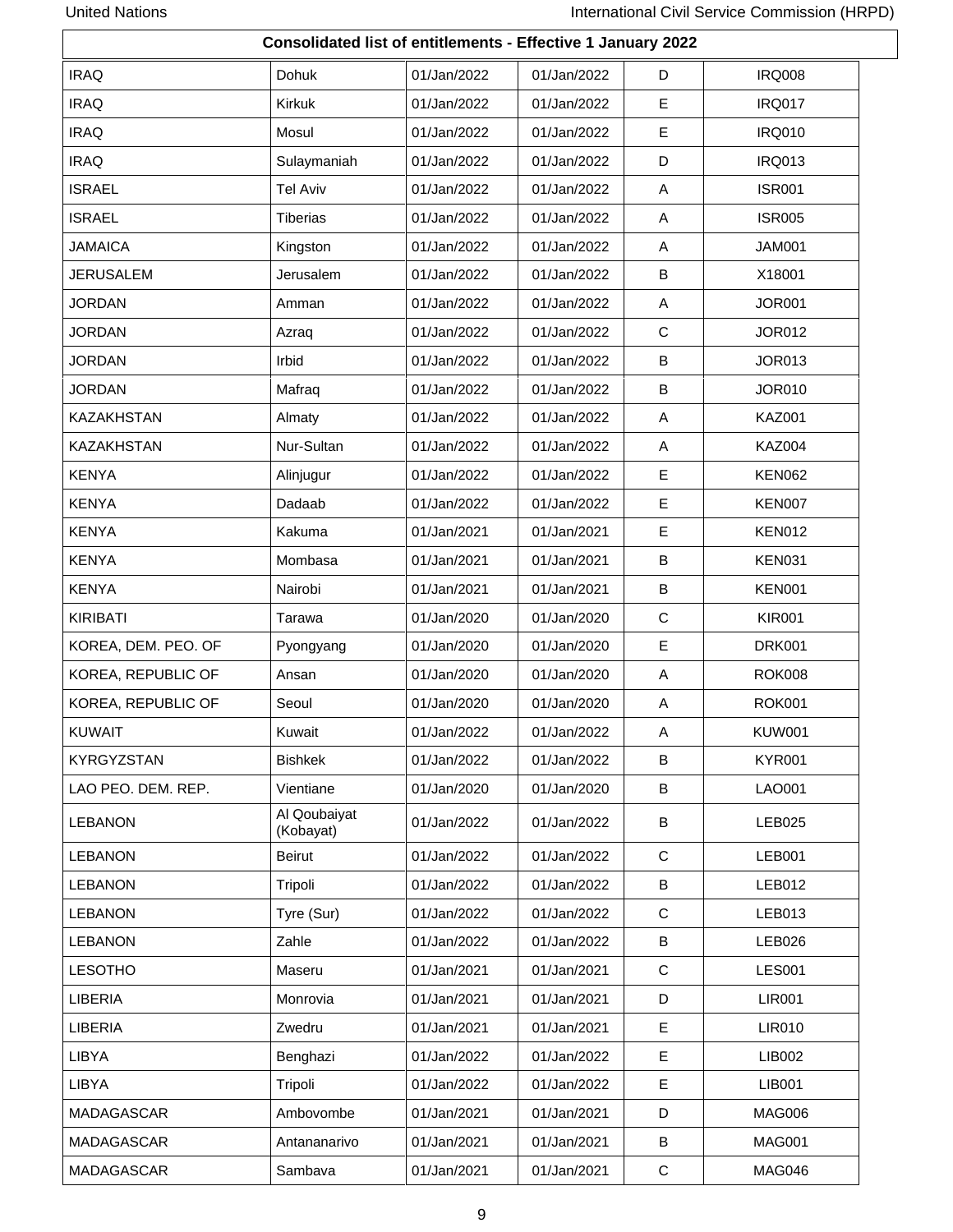|                     | Consolidated list of entitlements - Effective 1 January 2022 |             |             |             |               |
|---------------------|--------------------------------------------------------------|-------------|-------------|-------------|---------------|
| <b>IRAQ</b>         | Dohuk                                                        | 01/Jan/2022 | 01/Jan/2022 | D           | <b>IRQ008</b> |
| <b>IRAQ</b>         | Kirkuk                                                       | 01/Jan/2022 | 01/Jan/2022 | E           | <b>IRQ017</b> |
| <b>IRAQ</b>         | Mosul                                                        | 01/Jan/2022 | 01/Jan/2022 | Е           | <b>IRQ010</b> |
| <b>IRAQ</b>         | Sulaymaniah                                                  | 01/Jan/2022 | 01/Jan/2022 | D           | <b>IRQ013</b> |
| <b>ISRAEL</b>       | <b>Tel Aviv</b>                                              | 01/Jan/2022 | 01/Jan/2022 | Α           | <b>ISR001</b> |
| <b>ISRAEL</b>       | <b>Tiberias</b>                                              | 01/Jan/2022 | 01/Jan/2022 | A           | <b>ISR005</b> |
| <b>JAMAICA</b>      | Kingston                                                     | 01/Jan/2022 | 01/Jan/2022 | A           | <b>JAM001</b> |
| <b>JERUSALEM</b>    | Jerusalem                                                    | 01/Jan/2022 | 01/Jan/2022 | B           | X18001        |
| <b>JORDAN</b>       | Amman                                                        | 01/Jan/2022 | 01/Jan/2022 | A           | <b>JOR001</b> |
| <b>JORDAN</b>       | Azraq                                                        | 01/Jan/2022 | 01/Jan/2022 | $\mathbf C$ | <b>JOR012</b> |
| <b>JORDAN</b>       | Irbid                                                        | 01/Jan/2022 | 01/Jan/2022 | В           | <b>JOR013</b> |
| <b>JORDAN</b>       | Mafraq                                                       | 01/Jan/2022 | 01/Jan/2022 | B           | <b>JOR010</b> |
| <b>KAZAKHSTAN</b>   | Almaty                                                       | 01/Jan/2022 | 01/Jan/2022 | A           | <b>KAZ001</b> |
| <b>KAZAKHSTAN</b>   | Nur-Sultan                                                   | 01/Jan/2022 | 01/Jan/2022 | A           | <b>KAZ004</b> |
| <b>KENYA</b>        | Alinjugur                                                    | 01/Jan/2022 | 01/Jan/2022 | $\mathsf E$ | <b>KEN062</b> |
| <b>KENYA</b>        | Dadaab                                                       | 01/Jan/2022 | 01/Jan/2022 | E           | <b>KEN007</b> |
| <b>KENYA</b>        | Kakuma                                                       | 01/Jan/2021 | 01/Jan/2021 | $\mathsf E$ | <b>KEN012</b> |
| <b>KENYA</b>        | Mombasa                                                      | 01/Jan/2021 | 01/Jan/2021 | B           | <b>KEN031</b> |
| <b>KENYA</b>        | Nairobi                                                      | 01/Jan/2021 | 01/Jan/2021 | В           | <b>KEN001</b> |
| <b>KIRIBATI</b>     | Tarawa                                                       | 01/Jan/2020 | 01/Jan/2020 | $\mathbf C$ | <b>KIR001</b> |
| KOREA, DEM. PEO. OF | Pyongyang                                                    | 01/Jan/2020 | 01/Jan/2020 | E           | <b>DRK001</b> |
| KOREA, REPUBLIC OF  | Ansan                                                        | 01/Jan/2020 | 01/Jan/2020 | Α           | <b>ROK008</b> |
| KOREA, REPUBLIC OF  | Seoul                                                        | 01/Jan/2020 | 01/Jan/2020 | Α           | <b>ROK001</b> |
| <b>KUWAIT</b>       | Kuwait                                                       | 01/Jan/2022 | 01/Jan/2022 | A           | <b>KUW001</b> |
| <b>KYRGYZSTAN</b>   | <b>Bishkek</b>                                               | 01/Jan/2022 | 01/Jan/2022 | B           | <b>KYR001</b> |
| LAO PEO. DEM. REP.  | Vientiane                                                    | 01/Jan/2020 | 01/Jan/2020 | B           | LAO001        |
| <b>LEBANON</b>      | Al Qoubaiyat<br>(Kobayat)                                    | 01/Jan/2022 | 01/Jan/2022 | В           | LEB025        |
| <b>LEBANON</b>      | <b>Beirut</b>                                                | 01/Jan/2022 | 01/Jan/2022 | C           | <b>LEB001</b> |
| <b>LEBANON</b>      | Tripoli                                                      | 01/Jan/2022 | 01/Jan/2022 | В           | <b>LEB012</b> |
| <b>LEBANON</b>      | Tyre (Sur)                                                   | 01/Jan/2022 | 01/Jan/2022 | C           | LEB013        |
| <b>LEBANON</b>      | Zahle                                                        | 01/Jan/2022 | 01/Jan/2022 | В           | LEB026        |
| <b>LESOTHO</b>      | Maseru                                                       | 01/Jan/2021 | 01/Jan/2021 | C           | <b>LES001</b> |
| LIBERIA             | Monrovia                                                     | 01/Jan/2021 | 01/Jan/2021 | D           | <b>LIR001</b> |
| LIBERIA             | Zwedru                                                       | 01/Jan/2021 | 01/Jan/2021 | E           | <b>LIR010</b> |
| LIBYA               | Benghazi                                                     | 01/Jan/2022 | 01/Jan/2022 | E.          | LIB002        |
| LIBYA               | Tripoli                                                      | 01/Jan/2022 | 01/Jan/2022 | E           | <b>LIB001</b> |
| MADAGASCAR          | Ambovombe                                                    | 01/Jan/2021 | 01/Jan/2021 | D           | MAG006        |
| MADAGASCAR          | Antananarivo                                                 | 01/Jan/2021 | 01/Jan/2021 | В           | <b>MAG001</b> |
| MADAGASCAR          | Sambava                                                      | 01/Jan/2021 | 01/Jan/2021 | $\mathbf C$ | MAG046        |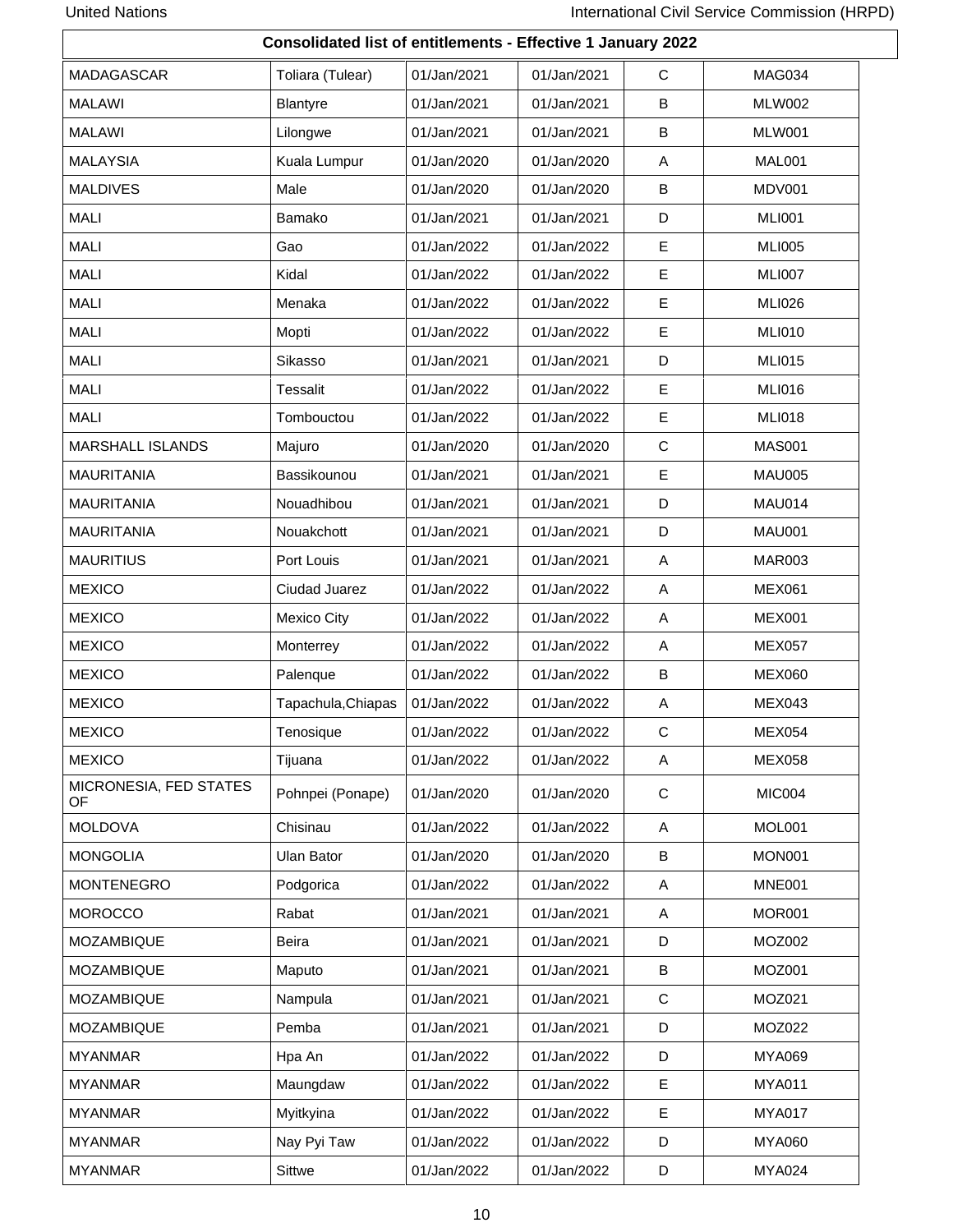|                              | <b>Consolidated list of entitlements - Effective 1 January 2022</b> |             |             |             |               |  |  |  |  |
|------------------------------|---------------------------------------------------------------------|-------------|-------------|-------------|---------------|--|--|--|--|
| MADAGASCAR                   | Toliara (Tulear)                                                    | 01/Jan/2021 | 01/Jan/2021 | C           | MAG034        |  |  |  |  |
| <b>MALAWI</b>                | <b>Blantyre</b>                                                     | 01/Jan/2021 | 01/Jan/2021 | B           | <b>MLW002</b> |  |  |  |  |
| <b>MALAWI</b>                | Lilongwe                                                            | 01/Jan/2021 | 01/Jan/2021 | B           | <b>MLW001</b> |  |  |  |  |
| <b>MALAYSIA</b>              | Kuala Lumpur                                                        | 01/Jan/2020 | 01/Jan/2020 | Α           | MAL001        |  |  |  |  |
| <b>MALDIVES</b>              | Male                                                                | 01/Jan/2020 | 01/Jan/2020 | B           | MDV001        |  |  |  |  |
| <b>MALI</b>                  | Bamako                                                              | 01/Jan/2021 | 01/Jan/2021 | D           | <b>MLI001</b> |  |  |  |  |
| <b>MALI</b>                  | Gao                                                                 | 01/Jan/2022 | 01/Jan/2022 | E           | <b>MLI005</b> |  |  |  |  |
| <b>MALI</b>                  | Kidal                                                               | 01/Jan/2022 | 01/Jan/2022 | $\mathsf E$ | <b>MLI007</b> |  |  |  |  |
| <b>MALI</b>                  | Menaka                                                              | 01/Jan/2022 | 01/Jan/2022 | E           | <b>MLI026</b> |  |  |  |  |
| <b>MALI</b>                  | Mopti                                                               | 01/Jan/2022 | 01/Jan/2022 | E           | <b>MLI010</b> |  |  |  |  |
| <b>MALI</b>                  | Sikasso                                                             | 01/Jan/2021 | 01/Jan/2021 | D           | <b>MLI015</b> |  |  |  |  |
| <b>MALI</b>                  | <b>Tessalit</b>                                                     | 01/Jan/2022 | 01/Jan/2022 | E           | <b>MLI016</b> |  |  |  |  |
| <b>MALI</b>                  | Tombouctou                                                          | 01/Jan/2022 | 01/Jan/2022 | Е           | <b>MLI018</b> |  |  |  |  |
| <b>MARSHALL ISLANDS</b>      | Majuro                                                              | 01/Jan/2020 | 01/Jan/2020 | $\mathbf C$ | <b>MAS001</b> |  |  |  |  |
| <b>MAURITANIA</b>            | Bassikounou                                                         | 01/Jan/2021 | 01/Jan/2021 | E           | <b>MAU005</b> |  |  |  |  |
| <b>MAURITANIA</b>            | Nouadhibou                                                          | 01/Jan/2021 | 01/Jan/2021 | D           | <b>MAU014</b> |  |  |  |  |
| <b>MAURITANIA</b>            | Nouakchott                                                          | 01/Jan/2021 | 01/Jan/2021 | D           | <b>MAU001</b> |  |  |  |  |
| <b>MAURITIUS</b>             | Port Louis                                                          | 01/Jan/2021 | 01/Jan/2021 | Α           | MAR003        |  |  |  |  |
| <b>MEXICO</b>                | Ciudad Juarez                                                       | 01/Jan/2022 | 01/Jan/2022 | A           | <b>MEX061</b> |  |  |  |  |
| <b>MEXICO</b>                | Mexico City                                                         | 01/Jan/2022 | 01/Jan/2022 | Α           | <b>MEX001</b> |  |  |  |  |
| <b>MEXICO</b>                | Monterrey                                                           | 01/Jan/2022 | 01/Jan/2022 | Α           | <b>MEX057</b> |  |  |  |  |
| <b>MEXICO</b>                | Palenque                                                            | 01/Jan/2022 | 01/Jan/2022 | B           | <b>MEX060</b> |  |  |  |  |
| <b>MEXICO</b>                | Tapachula, Chiapas                                                  | 01/Jan/2022 | 01/Jan/2022 | Α           | <b>MEX043</b> |  |  |  |  |
| <b>MEXICO</b>                | Tenosique                                                           | 01/Jan/2022 | 01/Jan/2022 | C           | <b>MEX054</b> |  |  |  |  |
| <b>MEXICO</b>                | Tijuana                                                             | 01/Jan/2022 | 01/Jan/2022 | Α           | <b>MEX058</b> |  |  |  |  |
| MICRONESIA, FED STATES<br>OF | Pohnpei (Ponape)                                                    | 01/Jan/2020 | 01/Jan/2020 | C           | MIC004        |  |  |  |  |
| <b>MOLDOVA</b>               | Chisinau                                                            | 01/Jan/2022 | 01/Jan/2022 | Α           | MOL001        |  |  |  |  |
| <b>MONGOLIA</b>              | Ulan Bator                                                          | 01/Jan/2020 | 01/Jan/2020 | B           | <b>MON001</b> |  |  |  |  |
| <b>MONTENEGRO</b>            | Podgorica                                                           | 01/Jan/2022 | 01/Jan/2022 | Α           | <b>MNE001</b> |  |  |  |  |
| <b>MOROCCO</b>               | Rabat                                                               | 01/Jan/2021 | 01/Jan/2021 | A           | <b>MOR001</b> |  |  |  |  |
| MOZAMBIQUE                   | Beira                                                               | 01/Jan/2021 | 01/Jan/2021 | D           | MOZ002        |  |  |  |  |
| <b>MOZAMBIQUE</b>            | Maputo                                                              | 01/Jan/2021 | 01/Jan/2021 | B           | MOZ001        |  |  |  |  |
| <b>MOZAMBIQUE</b>            | Nampula                                                             | 01/Jan/2021 | 01/Jan/2021 | C           | MOZ021        |  |  |  |  |
| <b>MOZAMBIQUE</b>            | Pemba                                                               | 01/Jan/2021 | 01/Jan/2021 | D           | <b>MOZ022</b> |  |  |  |  |
| <b>MYANMAR</b>               | Hpa An                                                              | 01/Jan/2022 | 01/Jan/2022 | D           | <b>MYA069</b> |  |  |  |  |
| <b>MYANMAR</b>               | Maungdaw                                                            | 01/Jan/2022 | 01/Jan/2022 | Е           | <b>MYA011</b> |  |  |  |  |
| <b>MYANMAR</b>               | Myitkyina                                                           | 01/Jan/2022 | 01/Jan/2022 | Е           | <b>MYA017</b> |  |  |  |  |
| <b>MYANMAR</b>               | Nay Pyi Taw                                                         | 01/Jan/2022 | 01/Jan/2022 | D           | <b>MYA060</b> |  |  |  |  |
| <b>MYANMAR</b>               | Sittwe                                                              | 01/Jan/2022 | 01/Jan/2022 | D           | MYA024        |  |  |  |  |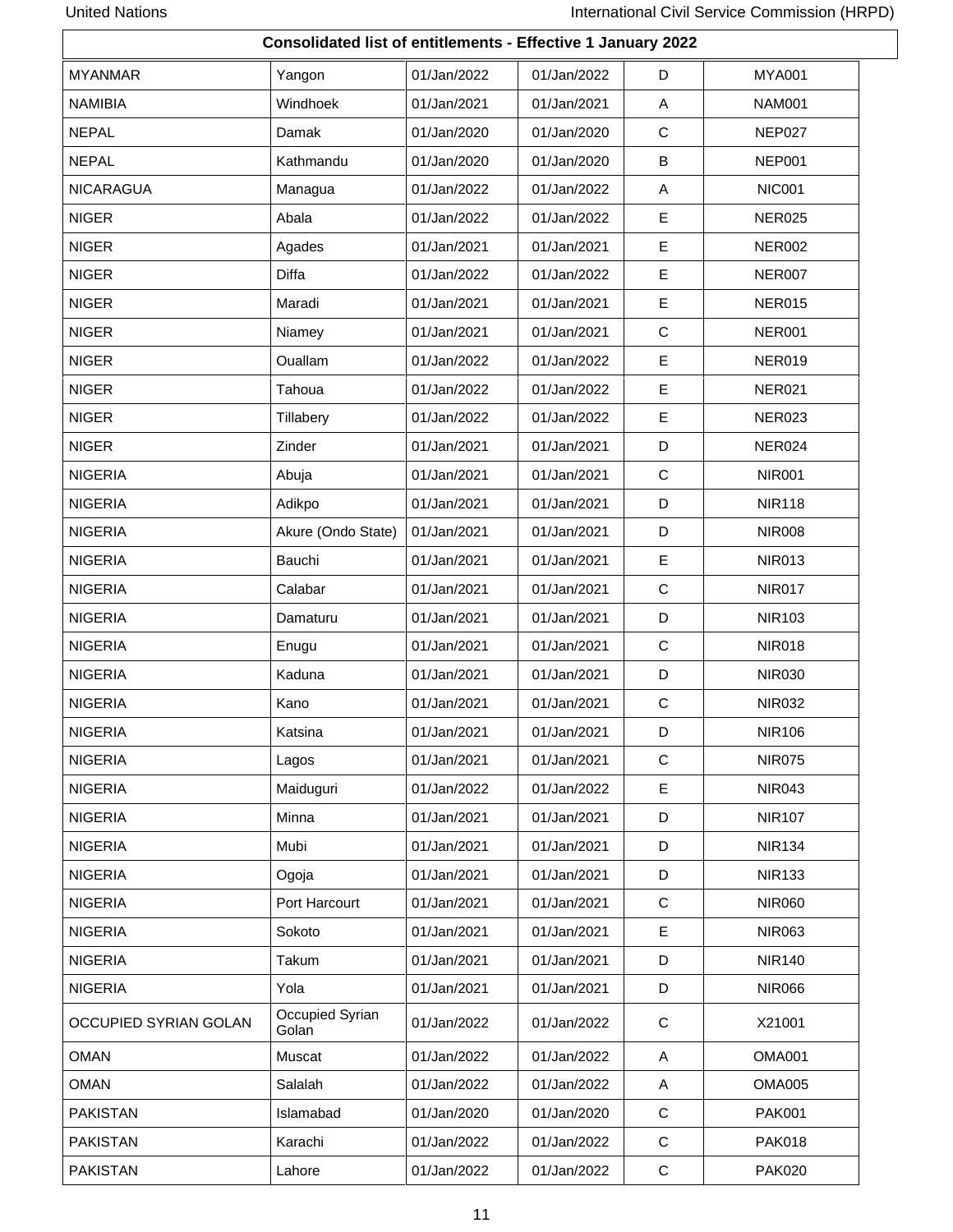|                       | Consolidated list of entitlements - Effective 1 January 2022 |             |             |              |               |
|-----------------------|--------------------------------------------------------------|-------------|-------------|--------------|---------------|
| <b>MYANMAR</b>        | Yangon                                                       | 01/Jan/2022 | 01/Jan/2022 | D            | <b>MYA001</b> |
| <b>NAMIBIA</b>        | Windhoek                                                     | 01/Jan/2021 | 01/Jan/2021 | Α            | <b>NAM001</b> |
| <b>NEPAL</b>          | Damak                                                        | 01/Jan/2020 | 01/Jan/2020 | C            | NEP027        |
| <b>NEPAL</b>          | Kathmandu                                                    | 01/Jan/2020 | 01/Jan/2020 | В            | <b>NEP001</b> |
| <b>NICARAGUA</b>      | Managua                                                      | 01/Jan/2022 | 01/Jan/2022 | A            | <b>NIC001</b> |
| <b>NIGER</b>          | Abala                                                        | 01/Jan/2022 | 01/Jan/2022 | E            | <b>NER025</b> |
| <b>NIGER</b>          | Agades                                                       | 01/Jan/2021 | 01/Jan/2021 | $\mathsf E$  | <b>NER002</b> |
| <b>NIGER</b>          | <b>Diffa</b>                                                 | 01/Jan/2022 | 01/Jan/2022 | E            | NER007        |
| <b>NIGER</b>          | Maradi                                                       | 01/Jan/2021 | 01/Jan/2021 | E            | <b>NER015</b> |
| <b>NIGER</b>          | Niamey                                                       | 01/Jan/2021 | 01/Jan/2021 | $\mathbf C$  | <b>NER001</b> |
| <b>NIGER</b>          | Ouallam                                                      | 01/Jan/2022 | 01/Jan/2022 | E            | <b>NER019</b> |
| <b>NIGER</b>          | Tahoua                                                       | 01/Jan/2022 | 01/Jan/2022 | E            | <b>NER021</b> |
| <b>NIGER</b>          | Tillabery                                                    | 01/Jan/2022 | 01/Jan/2022 | Е            | <b>NER023</b> |
| <b>NIGER</b>          | Zinder                                                       | 01/Jan/2021 | 01/Jan/2021 | D            | <b>NER024</b> |
| <b>NIGERIA</b>        | Abuja                                                        | 01/Jan/2021 | 01/Jan/2021 | $\mathbf C$  | <b>NIR001</b> |
| <b>NIGERIA</b>        | Adikpo                                                       | 01/Jan/2021 | 01/Jan/2021 | D            | <b>NIR118</b> |
| <b>NIGERIA</b>        | Akure (Ondo State)                                           | 01/Jan/2021 | 01/Jan/2021 | D            | <b>NIR008</b> |
| <b>NIGERIA</b>        | Bauchi                                                       | 01/Jan/2021 | 01/Jan/2021 | E            | <b>NIR013</b> |
| <b>NIGERIA</b>        | Calabar                                                      | 01/Jan/2021 | 01/Jan/2021 | C            | <b>NIR017</b> |
| <b>NIGERIA</b>        | Damaturu                                                     | 01/Jan/2021 | 01/Jan/2021 | D            | <b>NIR103</b> |
| <b>NIGERIA</b>        | Enugu                                                        | 01/Jan/2021 | 01/Jan/2021 | C            | <b>NIR018</b> |
| <b>NIGERIA</b>        | Kaduna                                                       | 01/Jan/2021 | 01/Jan/2021 | D            | <b>NIR030</b> |
| <b>NIGERIA</b>        | Kano                                                         | 01/Jan/2021 | 01/Jan/2021 | $\mathbf C$  | <b>NIR032</b> |
| <b>NIGERIA</b>        | Katsina                                                      | 01/Jan/2021 | 01/Jan/2021 | D            | <b>NIR106</b> |
| <b>NIGERIA</b>        | Lagos                                                        | 01/Jan/2021 | 01/Jan/2021 | $\mathsf{C}$ | <b>NIR075</b> |
| <b>NIGERIA</b>        | Maiduguri                                                    | 01/Jan/2022 | 01/Jan/2022 | E            | <b>NIR043</b> |
| <b>NIGERIA</b>        | Minna                                                        | 01/Jan/2021 | 01/Jan/2021 | D            | <b>NIR107</b> |
| <b>NIGERIA</b>        | Mubi                                                         | 01/Jan/2021 | 01/Jan/2021 | D            | <b>NIR134</b> |
| <b>NIGERIA</b>        | Ogoja                                                        | 01/Jan/2021 | 01/Jan/2021 | D            | <b>NIR133</b> |
| <b>NIGERIA</b>        | Port Harcourt                                                | 01/Jan/2021 | 01/Jan/2021 | C            | <b>NIR060</b> |
| <b>NIGERIA</b>        | Sokoto                                                       | 01/Jan/2021 | 01/Jan/2021 | E            | <b>NIR063</b> |
| <b>NIGERIA</b>        | Takum                                                        | 01/Jan/2021 | 01/Jan/2021 | D            | <b>NIR140</b> |
| <b>NIGERIA</b>        | Yola                                                         | 01/Jan/2021 | 01/Jan/2021 | D            | <b>NIR066</b> |
| OCCUPIED SYRIAN GOLAN | Occupied Syrian<br>Golan                                     | 01/Jan/2022 | 01/Jan/2022 | $\mathbf C$  | X21001        |
| <b>OMAN</b>           | Muscat                                                       | 01/Jan/2022 | 01/Jan/2022 | Α            | <b>OMA001</b> |
| <b>OMAN</b>           | Salalah                                                      | 01/Jan/2022 | 01/Jan/2022 | Α            | <b>OMA005</b> |
| <b>PAKISTAN</b>       | Islamabad                                                    | 01/Jan/2020 | 01/Jan/2020 | $\mathbf C$  | <b>PAK001</b> |
| <b>PAKISTAN</b>       | Karachi                                                      | 01/Jan/2022 | 01/Jan/2022 | $\mathbf C$  | <b>PAK018</b> |
| <b>PAKISTAN</b>       | Lahore                                                       | 01/Jan/2022 | 01/Jan/2022 | $\mathbf C$  | <b>PAK020</b> |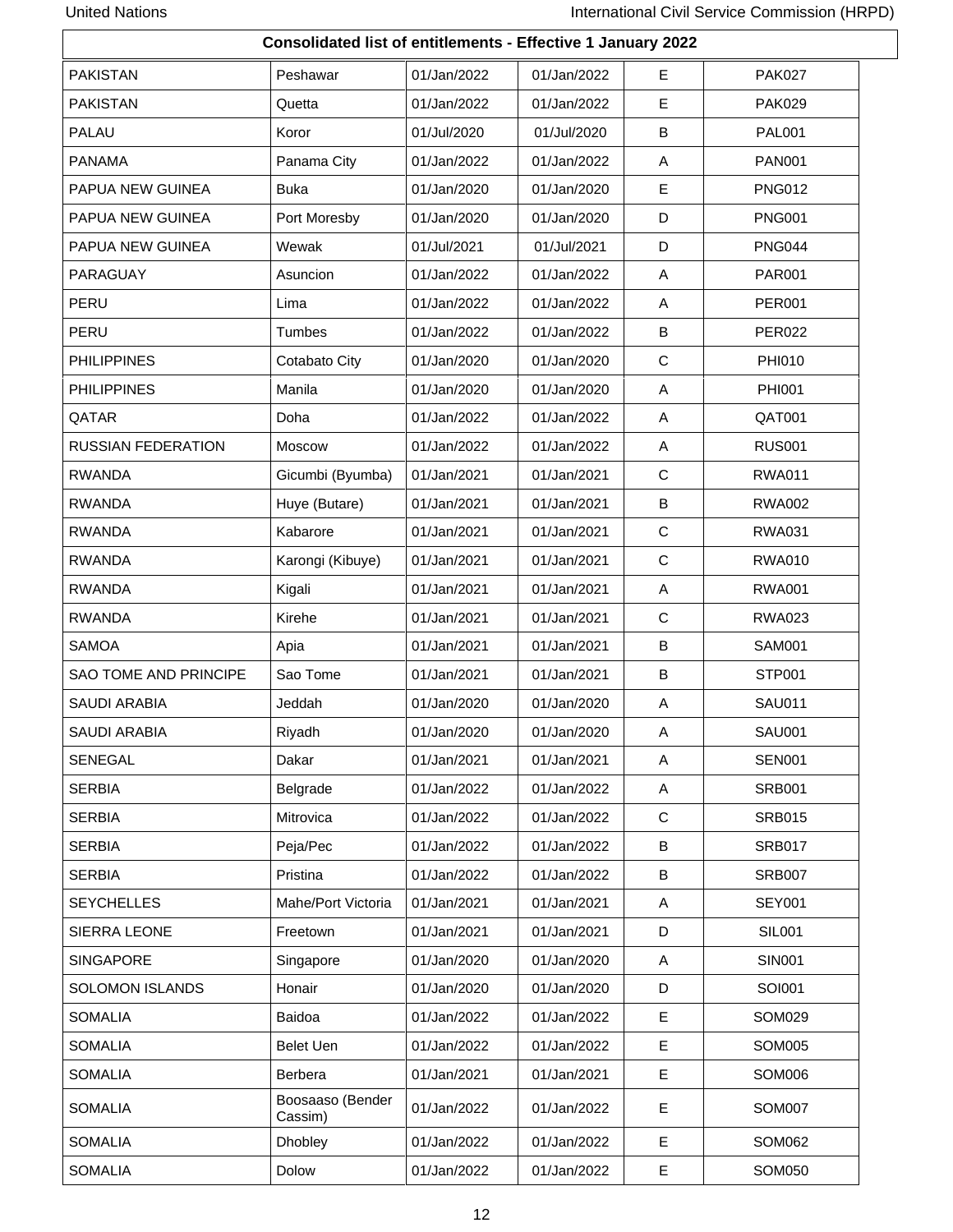$\mathbf{r}$ 

| Consolidated list of entitlements - Effective 1 January 2022 |                             |             |             |             |               |  |  |  |
|--------------------------------------------------------------|-----------------------------|-------------|-------------|-------------|---------------|--|--|--|
| <b>PAKISTAN</b>                                              | Peshawar                    | 01/Jan/2022 | 01/Jan/2022 | E           | <b>PAK027</b> |  |  |  |
| <b>PAKISTAN</b>                                              | Quetta                      | 01/Jan/2022 | 01/Jan/2022 | E           | <b>PAK029</b> |  |  |  |
| <b>PALAU</b>                                                 | Koror                       | 01/Jul/2020 | 01/Jul/2020 | B           | <b>PAL001</b> |  |  |  |
| <b>PANAMA</b>                                                | Panama City                 | 01/Jan/2022 | 01/Jan/2022 | Α           | <b>PAN001</b> |  |  |  |
| PAPUA NEW GUINEA                                             | <b>Buka</b>                 | 01/Jan/2020 | 01/Jan/2020 | E           | <b>PNG012</b> |  |  |  |
| PAPUA NEW GUINEA                                             | Port Moresby                | 01/Jan/2020 | 01/Jan/2020 | D           | <b>PNG001</b> |  |  |  |
| PAPUA NEW GUINEA                                             | Wewak                       | 01/Jul/2021 | 01/Jul/2021 | D           | <b>PNG044</b> |  |  |  |
| PARAGUAY                                                     | Asuncion                    | 01/Jan/2022 | 01/Jan/2022 | A           | <b>PAR001</b> |  |  |  |
| PERU                                                         | Lima                        | 01/Jan/2022 | 01/Jan/2022 | A           | <b>PER001</b> |  |  |  |
| PERU                                                         | Tumbes                      | 01/Jan/2022 | 01/Jan/2022 | B           | <b>PER022</b> |  |  |  |
| <b>PHILIPPINES</b>                                           | Cotabato City               | 01/Jan/2020 | 01/Jan/2020 | $\mathbf C$ | PHI010        |  |  |  |
| <b>PHILIPPINES</b>                                           | Manila                      | 01/Jan/2020 | 01/Jan/2020 | Α           | <b>PHI001</b> |  |  |  |
| QATAR                                                        | Doha                        | 01/Jan/2022 | 01/Jan/2022 | Α           | QAT001        |  |  |  |
| <b>RUSSIAN FEDERATION</b>                                    | Moscow                      | 01/Jan/2022 | 01/Jan/2022 | Α           | <b>RUS001</b> |  |  |  |
| <b>RWANDA</b>                                                | Gicumbi (Byumba)            | 01/Jan/2021 | 01/Jan/2021 | C           | <b>RWA011</b> |  |  |  |
| <b>RWANDA</b>                                                | Huye (Butare)               | 01/Jan/2021 | 01/Jan/2021 | B           | <b>RWA002</b> |  |  |  |
| <b>RWANDA</b>                                                | Kabarore                    | 01/Jan/2021 | 01/Jan/2021 | $\mathbf C$ | <b>RWA031</b> |  |  |  |
| <b>RWANDA</b>                                                | Karongi (Kibuye)            | 01/Jan/2021 | 01/Jan/2021 | $\mathbf C$ | <b>RWA010</b> |  |  |  |
| <b>RWANDA</b>                                                | Kigali                      | 01/Jan/2021 | 01/Jan/2021 | Α           | <b>RWA001</b> |  |  |  |
| <b>RWANDA</b>                                                | Kirehe                      | 01/Jan/2021 | 01/Jan/2021 | C           | <b>RWA023</b> |  |  |  |
| <b>SAMOA</b>                                                 | Apia                        | 01/Jan/2021 | 01/Jan/2021 | B           | <b>SAM001</b> |  |  |  |
| <b>SAO TOME AND PRINCIPE</b>                                 | Sao Tome                    | 01/Jan/2021 | 01/Jan/2021 | B           | STP001        |  |  |  |
| <b>SAUDI ARABIA</b>                                          | Jeddah                      | 01/Jan/2020 | 01/Jan/2020 | Α           | <b>SAU011</b> |  |  |  |
| SAUDI ARABIA                                                 | Riyadh                      | 01/Jan/2020 | 01/Jan/2020 | Α           | <b>SAU001</b> |  |  |  |
| <b>SENEGAL</b>                                               | Dakar                       | 01/Jan/2021 | 01/Jan/2021 | A           | <b>SEN001</b> |  |  |  |
| <b>SERBIA</b>                                                | Belgrade                    | 01/Jan/2022 | 01/Jan/2022 | A           | <b>SRB001</b> |  |  |  |
| <b>SERBIA</b>                                                | Mitrovica                   | 01/Jan/2022 | 01/Jan/2022 | $\mathbf C$ | <b>SRB015</b> |  |  |  |
| <b>SERBIA</b>                                                | Peja/Pec                    | 01/Jan/2022 | 01/Jan/2022 | B           | <b>SRB017</b> |  |  |  |
| <b>SERBIA</b>                                                | Pristina                    | 01/Jan/2022 | 01/Jan/2022 | B           | <b>SRB007</b> |  |  |  |
| <b>SEYCHELLES</b>                                            | Mahe/Port Victoria          | 01/Jan/2021 | 01/Jan/2021 | Α           | <b>SEY001</b> |  |  |  |
| SIERRA LEONE                                                 | Freetown                    | 01/Jan/2021 | 01/Jan/2021 | D           | <b>SIL001</b> |  |  |  |
| <b>SINGAPORE</b>                                             | Singapore                   | 01/Jan/2020 | 01/Jan/2020 | Α           | <b>SIN001</b> |  |  |  |
| <b>SOLOMON ISLANDS</b>                                       | Honair                      | 01/Jan/2020 | 01/Jan/2020 | D           | SOI001        |  |  |  |
| <b>SOMALIA</b>                                               | Baidoa                      | 01/Jan/2022 | 01/Jan/2022 | E           | <b>SOM029</b> |  |  |  |
| <b>SOMALIA</b>                                               | <b>Belet Uen</b>            | 01/Jan/2022 | 01/Jan/2022 | Е           | <b>SOM005</b> |  |  |  |
| <b>SOMALIA</b>                                               | Berbera                     | 01/Jan/2021 | 01/Jan/2021 | Е           | SOM006        |  |  |  |
| <b>SOMALIA</b>                                               | Boosaaso (Bender<br>Cassim) | 01/Jan/2022 | 01/Jan/2022 | Е           | <b>SOM007</b> |  |  |  |
| <b>SOMALIA</b>                                               | Dhobley                     | 01/Jan/2022 | 01/Jan/2022 | Е           | <b>SOM062</b> |  |  |  |
| <b>SOMALIA</b>                                               | Dolow                       | 01/Jan/2022 | 01/Jan/2022 | E           | <b>SOM050</b> |  |  |  |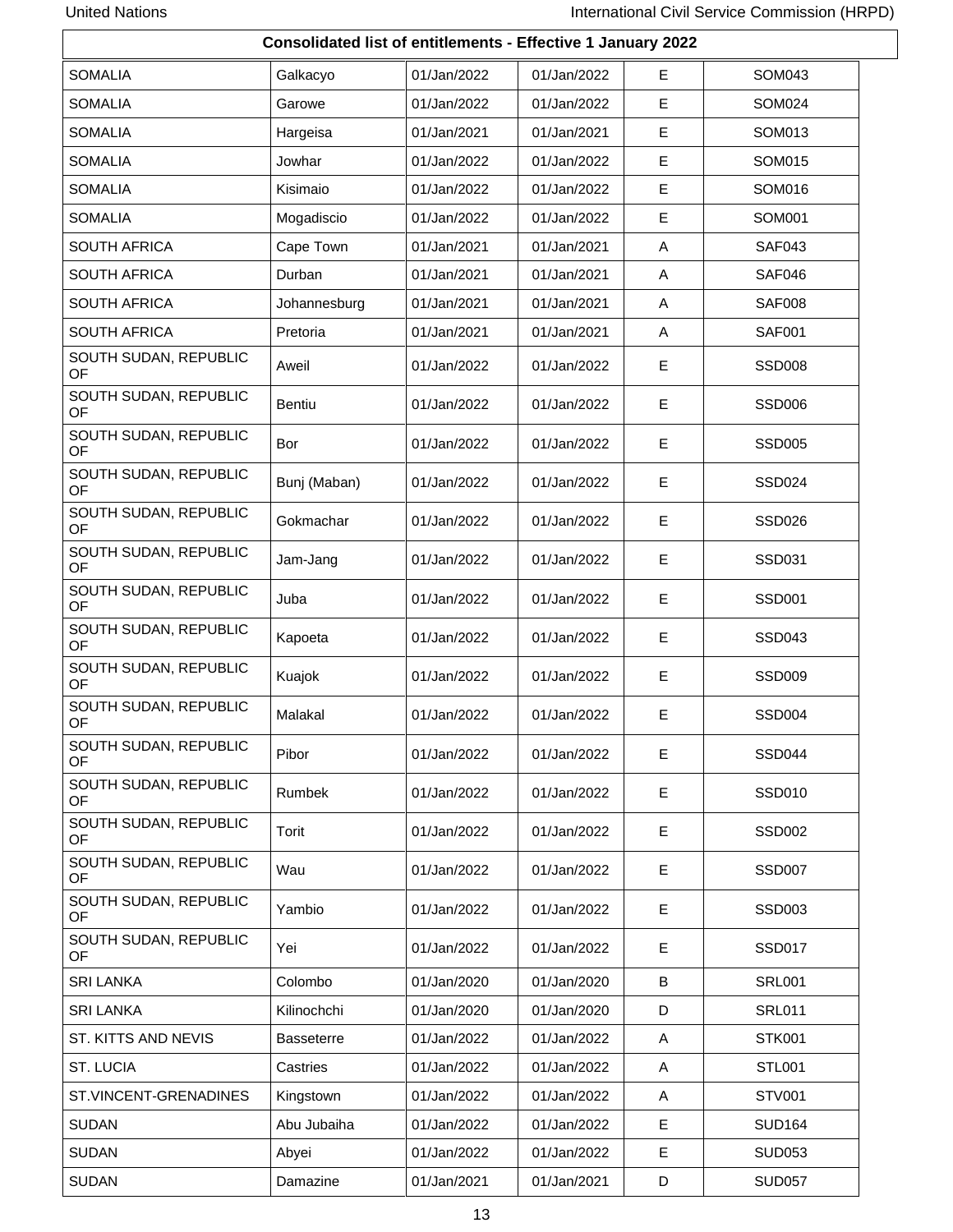| Consolidated list of entitlements - Effective 1 January 2022 |                   |             |             |             |               |  |  |  |
|--------------------------------------------------------------|-------------------|-------------|-------------|-------------|---------------|--|--|--|
| <b>SOMALIA</b>                                               | Galkacyo          | 01/Jan/2022 | 01/Jan/2022 | E           | SOM043        |  |  |  |
| <b>SOMALIA</b>                                               | Garowe            | 01/Jan/2022 | 01/Jan/2022 | Е           | SOM024        |  |  |  |
| <b>SOMALIA</b>                                               | Hargeisa          | 01/Jan/2021 | 01/Jan/2021 | E           | SOM013        |  |  |  |
| <b>SOMALIA</b>                                               | Jowhar            | 01/Jan/2022 | 01/Jan/2022 | E           | SOM015        |  |  |  |
| <b>SOMALIA</b>                                               | Kisimaio          | 01/Jan/2022 | 01/Jan/2022 | E           | SOM016        |  |  |  |
| <b>SOMALIA</b>                                               | Mogadiscio        | 01/Jan/2022 | 01/Jan/2022 | $\mathsf E$ | SOM001        |  |  |  |
| <b>SOUTH AFRICA</b>                                          | Cape Town         | 01/Jan/2021 | 01/Jan/2021 | A           | <b>SAF043</b> |  |  |  |
| <b>SOUTH AFRICA</b>                                          | Durban            | 01/Jan/2021 | 01/Jan/2021 | A           | SAF046        |  |  |  |
| <b>SOUTH AFRICA</b>                                          | Johannesburg      | 01/Jan/2021 | 01/Jan/2021 | Α           | <b>SAF008</b> |  |  |  |
| <b>SOUTH AFRICA</b>                                          | Pretoria          | 01/Jan/2021 | 01/Jan/2021 | Α           | <b>SAF001</b> |  |  |  |
| SOUTH SUDAN, REPUBLIC<br>OF                                  | Aweil             | 01/Jan/2022 | 01/Jan/2022 | Е           | <b>SSD008</b> |  |  |  |
| SOUTH SUDAN, REPUBLIC<br>OF                                  | <b>Bentiu</b>     | 01/Jan/2022 | 01/Jan/2022 | E           | <b>SSD006</b> |  |  |  |
| SOUTH SUDAN, REPUBLIC<br>OF                                  | Bor               | 01/Jan/2022 | 01/Jan/2022 | E           | <b>SSD005</b> |  |  |  |
| SOUTH SUDAN, REPUBLIC<br>OF                                  | Bunj (Maban)      | 01/Jan/2022 | 01/Jan/2022 | Е           | <b>SSD024</b> |  |  |  |
| SOUTH SUDAN, REPUBLIC<br>OF                                  | Gokmachar         | 01/Jan/2022 | 01/Jan/2022 | E           | <b>SSD026</b> |  |  |  |
| SOUTH SUDAN, REPUBLIC<br>OF                                  | Jam-Jang          | 01/Jan/2022 | 01/Jan/2022 | Е           | SSD031        |  |  |  |
| SOUTH SUDAN, REPUBLIC<br>OF                                  | Juba              | 01/Jan/2022 | 01/Jan/2022 | Е           | <b>SSD001</b> |  |  |  |
| SOUTH SUDAN, REPUBLIC<br>OF                                  | Kapoeta           | 01/Jan/2022 | 01/Jan/2022 | E           | <b>SSD043</b> |  |  |  |
| SOUTH SUDAN, REPUBLIC<br>OF                                  | Kuajok            | 01/Jan/2022 | 01/Jan/2022 | E           | <b>SSD009</b> |  |  |  |
| SOUTH SUDAN, REPUBLIC<br>OF                                  | Malakal           | 01/Jan/2022 | 01/Jan/2022 | E           | <b>SSD004</b> |  |  |  |
| SOUTH SUDAN, REPUBLIC<br>OF                                  | Pibor             | 01/Jan/2022 | 01/Jan/2022 | Е           | <b>SSD044</b> |  |  |  |
| SOUTH SUDAN, REPUBLIC<br><b>OF</b>                           | Rumbek            | 01/Jan/2022 | 01/Jan/2022 | Е           | <b>SSD010</b> |  |  |  |
| SOUTH SUDAN, REPUBLIC<br>OF.                                 | Torit             | 01/Jan/2022 | 01/Jan/2022 | E           | <b>SSD002</b> |  |  |  |
| SOUTH SUDAN, REPUBLIC<br>OF.                                 | Wau               | 01/Jan/2022 | 01/Jan/2022 | Е           | <b>SSD007</b> |  |  |  |
| SOUTH SUDAN, REPUBLIC<br>OF                                  | Yambio            | 01/Jan/2022 | 01/Jan/2022 | E           | <b>SSD003</b> |  |  |  |
| SOUTH SUDAN, REPUBLIC<br>OF                                  | Yei               | 01/Jan/2022 | 01/Jan/2022 | Е           | <b>SSD017</b> |  |  |  |
| <b>SRI LANKA</b>                                             | Colombo           | 01/Jan/2020 | 01/Jan/2020 | В           | <b>SRL001</b> |  |  |  |
| <b>SRI LANKA</b>                                             | Kilinochchi       | 01/Jan/2020 | 01/Jan/2020 | D           | <b>SRL011</b> |  |  |  |
| ST. KITTS AND NEVIS                                          | <b>Basseterre</b> | 01/Jan/2022 | 01/Jan/2022 | A           | <b>STK001</b> |  |  |  |
| ST. LUCIA                                                    | Castries          | 01/Jan/2022 | 01/Jan/2022 | A           | <b>STL001</b> |  |  |  |
| ST.VINCENT-GRENADINES                                        | Kingstown         | 01/Jan/2022 | 01/Jan/2022 | A           | <b>STV001</b> |  |  |  |
| <b>SUDAN</b>                                                 | Abu Jubaiha       | 01/Jan/2022 | 01/Jan/2022 | E           | <b>SUD164</b> |  |  |  |
| <b>SUDAN</b>                                                 | Abyei             | 01/Jan/2022 | 01/Jan/2022 | E           | <b>SUD053</b> |  |  |  |
| <b>SUDAN</b>                                                 | Damazine          | 01/Jan/2021 | 01/Jan/2021 | D           | <b>SUD057</b> |  |  |  |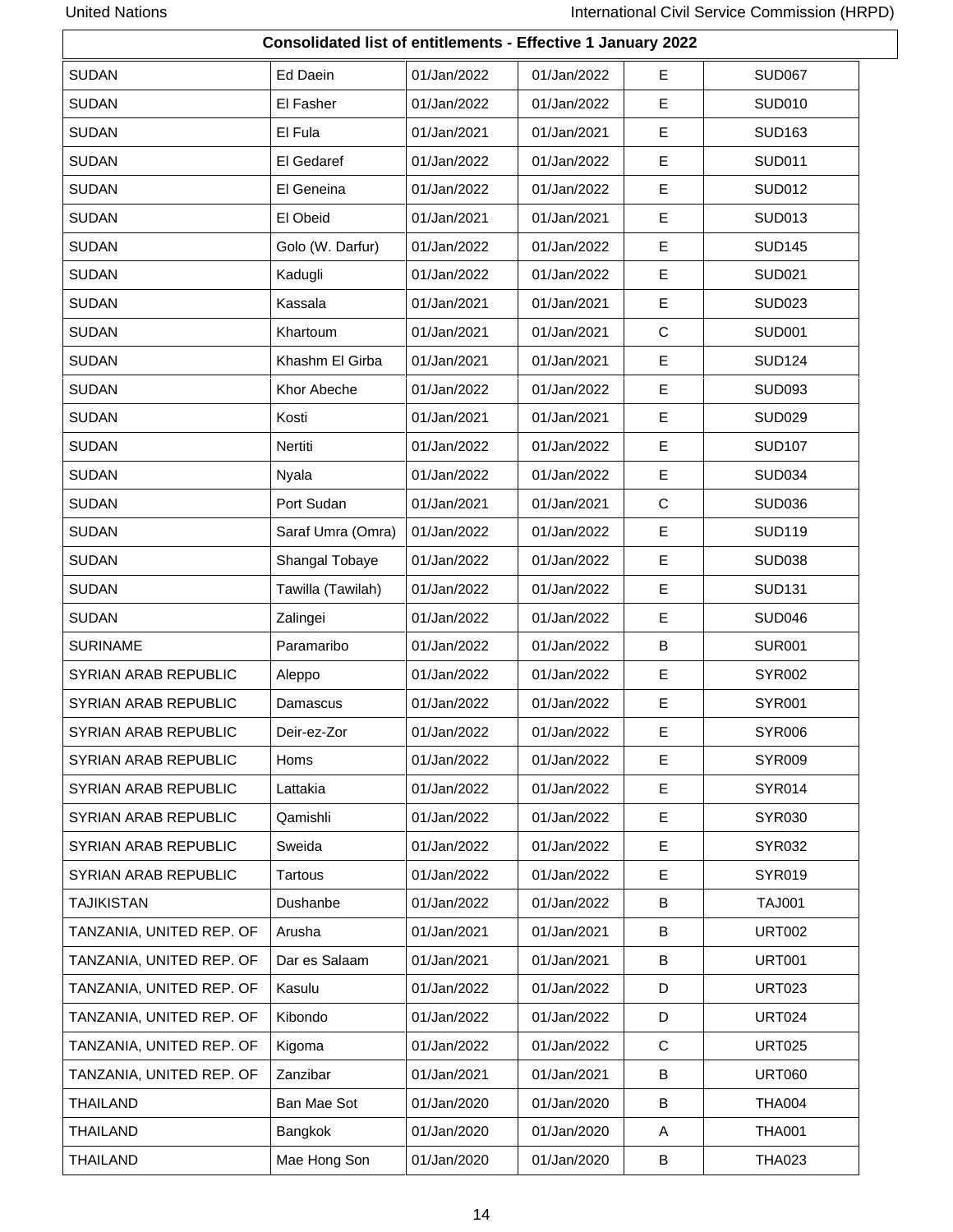| Consolidated list of entitlements - Effective 1 January 2022 |                   |             |             |              |               |
|--------------------------------------------------------------|-------------------|-------------|-------------|--------------|---------------|
| <b>SUDAN</b>                                                 | Ed Daein          | 01/Jan/2022 | 01/Jan/2022 | Е            | <b>SUD067</b> |
| <b>SUDAN</b>                                                 | El Fasher         | 01/Jan/2022 | 01/Jan/2022 | Е            | <b>SUD010</b> |
| <b>SUDAN</b>                                                 | El Fula           | 01/Jan/2021 | 01/Jan/2021 | Е            | <b>SUD163</b> |
| <b>SUDAN</b>                                                 | El Gedaref        | 01/Jan/2022 | 01/Jan/2022 | Е            | <b>SUD011</b> |
| <b>SUDAN</b>                                                 | El Geneina        | 01/Jan/2022 | 01/Jan/2022 | Е            | <b>SUD012</b> |
| <b>SUDAN</b>                                                 | El Obeid          | 01/Jan/2021 | 01/Jan/2021 | E            | <b>SUD013</b> |
| <b>SUDAN</b>                                                 | Golo (W. Darfur)  | 01/Jan/2022 | 01/Jan/2022 | Е            | <b>SUD145</b> |
| <b>SUDAN</b>                                                 | Kadugli           | 01/Jan/2022 | 01/Jan/2022 | E            | <b>SUD021</b> |
| <b>SUDAN</b>                                                 | Kassala           | 01/Jan/2021 | 01/Jan/2021 | E            | <b>SUD023</b> |
| <b>SUDAN</b>                                                 | Khartoum          | 01/Jan/2021 | 01/Jan/2021 | $\mathsf{C}$ | <b>SUD001</b> |
| <b>SUDAN</b>                                                 | Khashm El Girba   | 01/Jan/2021 | 01/Jan/2021 | E            | <b>SUD124</b> |
| <b>SUDAN</b>                                                 | Khor Abeche       | 01/Jan/2022 | 01/Jan/2022 | Е            | <b>SUD093</b> |
| <b>SUDAN</b>                                                 | Kosti             | 01/Jan/2021 | 01/Jan/2021 | Е            | <b>SUD029</b> |
| <b>SUDAN</b>                                                 | Nertiti           | 01/Jan/2022 | 01/Jan/2022 | E            | <b>SUD107</b> |
| <b>SUDAN</b>                                                 | Nyala             | 01/Jan/2022 | 01/Jan/2022 | E            | <b>SUD034</b> |
| <b>SUDAN</b>                                                 | Port Sudan        | 01/Jan/2021 | 01/Jan/2021 | $\mathsf{C}$ | <b>SUD036</b> |
| <b>SUDAN</b>                                                 | Saraf Umra (Omra) | 01/Jan/2022 | 01/Jan/2022 | E            | <b>SUD119</b> |
| <b>SUDAN</b>                                                 | Shangal Tobaye    | 01/Jan/2022 | 01/Jan/2022 | E            | <b>SUD038</b> |
| <b>SUDAN</b>                                                 | Tawilla (Tawilah) | 01/Jan/2022 | 01/Jan/2022 | E            | <b>SUD131</b> |
| <b>SUDAN</b>                                                 | Zalingei          | 01/Jan/2022 | 01/Jan/2022 | Е            | <b>SUD046</b> |
| <b>SURINAME</b>                                              | Paramaribo        | 01/Jan/2022 | 01/Jan/2022 | B            | <b>SUR001</b> |
| SYRIAN ARAB REPUBLIC                                         | Aleppo            | 01/Jan/2022 | 01/Jan/2022 | E            | <b>SYR002</b> |
| SYRIAN ARAB REPUBLIC                                         | Damascus          | 01/Jan/2022 | 01/Jan/2022 | E            | <b>SYR001</b> |
| SYRIAN ARAB REPUBLIC                                         | Deir-ez-Zor       | 01/Jan/2022 | 01/Jan/2022 | Е            | <b>SYR006</b> |
| SYRIAN ARAB REPUBLIC                                         | Homs              | 01/Jan/2022 | 01/Jan/2022 | E            | <b>SYR009</b> |
| SYRIAN ARAB REPUBLIC                                         | Lattakia          | 01/Jan/2022 | 01/Jan/2022 | E            | <b>SYR014</b> |
| SYRIAN ARAB REPUBLIC                                         | Qamishli          | 01/Jan/2022 | 01/Jan/2022 | Е            | <b>SYR030</b> |
| SYRIAN ARAB REPUBLIC                                         | Sweida            | 01/Jan/2022 | 01/Jan/2022 | Е            | SYR032        |
| SYRIAN ARAB REPUBLIC                                         | Tartous           | 01/Jan/2022 | 01/Jan/2022 | Е            | <b>SYR019</b> |
| <b>TAJIKISTAN</b>                                            | Dushanbe          | 01/Jan/2022 | 01/Jan/2022 | B            | <b>TAJ001</b> |
| TANZANIA, UNITED REP. OF                                     | Arusha            | 01/Jan/2021 | 01/Jan/2021 | B            | <b>URT002</b> |
| TANZANIA, UNITED REP. OF                                     | Dar es Salaam     | 01/Jan/2021 | 01/Jan/2021 | B            | <b>URT001</b> |
| TANZANIA, UNITED REP. OF                                     | Kasulu            | 01/Jan/2022 | 01/Jan/2022 | D            | <b>URT023</b> |
| TANZANIA, UNITED REP. OF                                     | Kibondo           | 01/Jan/2022 | 01/Jan/2022 | D            | <b>URT024</b> |
| TANZANIA, UNITED REP. OF                                     | Kigoma            | 01/Jan/2022 | 01/Jan/2022 | C            | <b>URT025</b> |
| TANZANIA, UNITED REP. OF                                     | Zanzibar          | 01/Jan/2021 | 01/Jan/2021 | В            | <b>URT060</b> |
| <b>THAILAND</b>                                              | Ban Mae Sot       | 01/Jan/2020 | 01/Jan/2020 | B            | <b>THA004</b> |
| THAILAND                                                     | Bangkok           | 01/Jan/2020 | 01/Jan/2020 | A            | <b>THA001</b> |
| <b>THAILAND</b>                                              | Mae Hong Son      | 01/Jan/2020 | 01/Jan/2020 | B            | <b>THA023</b> |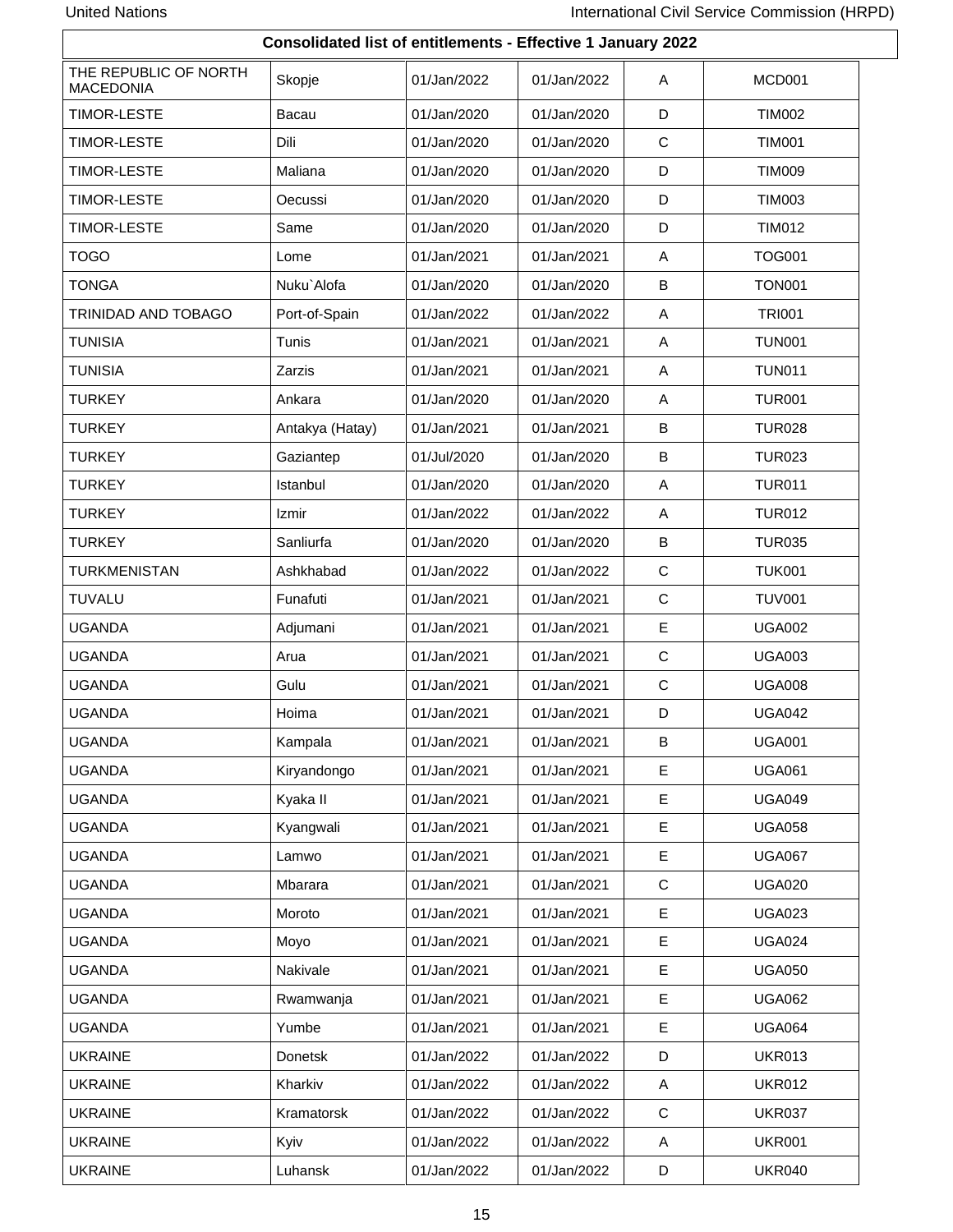| Consolidated list of entitlements - Effective 1 January 2022 |                 |             |             |             |               |
|--------------------------------------------------------------|-----------------|-------------|-------------|-------------|---------------|
| THE REPUBLIC OF NORTH<br><b>MACEDONIA</b>                    | Skopje          | 01/Jan/2022 | 01/Jan/2022 | Α           | MCD001        |
| <b>TIMOR-LESTE</b>                                           | Bacau           | 01/Jan/2020 | 01/Jan/2020 | D           | <b>TIM002</b> |
| <b>TIMOR-LESTE</b>                                           | Dili            | 01/Jan/2020 | 01/Jan/2020 | $\mathbf C$ | <b>TIM001</b> |
| <b>TIMOR-LESTE</b>                                           | Maliana         | 01/Jan/2020 | 01/Jan/2020 | D           | <b>TIM009</b> |
| <b>TIMOR-LESTE</b>                                           | Oecussi         | 01/Jan/2020 | 01/Jan/2020 | D           | <b>TIM003</b> |
| <b>TIMOR-LESTE</b>                                           | Same            | 01/Jan/2020 | 01/Jan/2020 | D           | <b>TIM012</b> |
| <b>TOGO</b>                                                  | Lome            | 01/Jan/2021 | 01/Jan/2021 | A           | <b>TOG001</b> |
| <b>TONGA</b>                                                 | Nuku`Alofa      | 01/Jan/2020 | 01/Jan/2020 | B           | <b>TON001</b> |
| TRINIDAD AND TOBAGO                                          | Port-of-Spain   | 01/Jan/2022 | 01/Jan/2022 | Α           | <b>TRI001</b> |
| <b>TUNISIA</b>                                               | Tunis           | 01/Jan/2021 | 01/Jan/2021 | Α           | <b>TUN001</b> |
| <b>TUNISIA</b>                                               | Zarzis          | 01/Jan/2021 | 01/Jan/2021 | Α           | <b>TUN011</b> |
| <b>TURKEY</b>                                                | Ankara          | 01/Jan/2020 | 01/Jan/2020 | Α           | <b>TUR001</b> |
| <b>TURKEY</b>                                                | Antakya (Hatay) | 01/Jan/2021 | 01/Jan/2021 | В           | <b>TUR028</b> |
| <b>TURKEY</b>                                                | Gaziantep       | 01/Jul/2020 | 01/Jan/2020 | В           | <b>TUR023</b> |
| <b>TURKEY</b>                                                | Istanbul        | 01/Jan/2020 | 01/Jan/2020 | Α           | <b>TUR011</b> |
| <b>TURKEY</b>                                                | Izmir           | 01/Jan/2022 | 01/Jan/2022 | A           | <b>TUR012</b> |
| <b>TURKEY</b>                                                | Sanliurfa       | 01/Jan/2020 | 01/Jan/2020 | B           | <b>TUR035</b> |
| <b>TURKMENISTAN</b>                                          | Ashkhabad       | 01/Jan/2022 | 01/Jan/2022 | $\mathbf C$ | <b>TUK001</b> |
| <b>TUVALU</b>                                                | Funafuti        | 01/Jan/2021 | 01/Jan/2021 | C           | <b>TUV001</b> |
| <b>UGANDA</b>                                                | Adjumani        | 01/Jan/2021 | 01/Jan/2021 | $\mathsf E$ | <b>UGA002</b> |
| <b>UGANDA</b>                                                | Arua            | 01/Jan/2021 | 01/Jan/2021 | $\mathbf C$ | <b>UGA003</b> |
| <b>UGANDA</b>                                                | Gulu            | 01/Jan/2021 | 01/Jan/2021 | $\mathbf C$ | <b>UGA008</b> |
| <b>UGANDA</b>                                                | Hoima           | 01/Jan/2021 | 01/Jan/2021 | D           | <b>UGA042</b> |
| <b>UGANDA</b>                                                | Kampala         | 01/Jan/2021 | 01/Jan/2021 | B           | <b>UGA001</b> |
| <b>UGANDA</b>                                                | Kiryandongo     | 01/Jan/2021 | 01/Jan/2021 | Е           | <b>UGA061</b> |
| <b>UGANDA</b>                                                | Kyaka II        | 01/Jan/2021 | 01/Jan/2021 | E           | <b>UGA049</b> |
| <b>UGANDA</b>                                                | Kyangwali       | 01/Jan/2021 | 01/Jan/2021 | E           | <b>UGA058</b> |
| <b>UGANDA</b>                                                | Lamwo           | 01/Jan/2021 | 01/Jan/2021 | $\mathsf E$ | <b>UGA067</b> |
| <b>UGANDA</b>                                                | Mbarara         | 01/Jan/2021 | 01/Jan/2021 | ${\bf C}$   | <b>UGA020</b> |
| <b>UGANDA</b>                                                | Moroto          | 01/Jan/2021 | 01/Jan/2021 | E           | <b>UGA023</b> |
| <b>UGANDA</b>                                                | Moyo            | 01/Jan/2021 | 01/Jan/2021 | $\mathsf E$ | <b>UGA024</b> |
| <b>UGANDA</b>                                                | Nakivale        | 01/Jan/2021 | 01/Jan/2021 | Е           | <b>UGA050</b> |
| <b>UGANDA</b>                                                | Rwamwanja       | 01/Jan/2021 | 01/Jan/2021 | E           | <b>UGA062</b> |
| <b>UGANDA</b>                                                | Yumbe           | 01/Jan/2021 | 01/Jan/2021 | Е           | <b>UGA064</b> |
| <b>UKRAINE</b>                                               | Donetsk         | 01/Jan/2022 | 01/Jan/2022 | D           | <b>UKR013</b> |
| <b>UKRAINE</b>                                               | Kharkiv         | 01/Jan/2022 | 01/Jan/2022 | A           | <b>UKR012</b> |
| <b>UKRAINE</b>                                               | Kramatorsk      | 01/Jan/2022 | 01/Jan/2022 | $\mathbf C$ | <b>UKR037</b> |
| <b>UKRAINE</b>                                               | Kyiv            | 01/Jan/2022 | 01/Jan/2022 | Α           | <b>UKR001</b> |
| <b>UKRAINE</b>                                               | Luhansk         | 01/Jan/2022 | 01/Jan/2022 | D           | <b>UKR040</b> |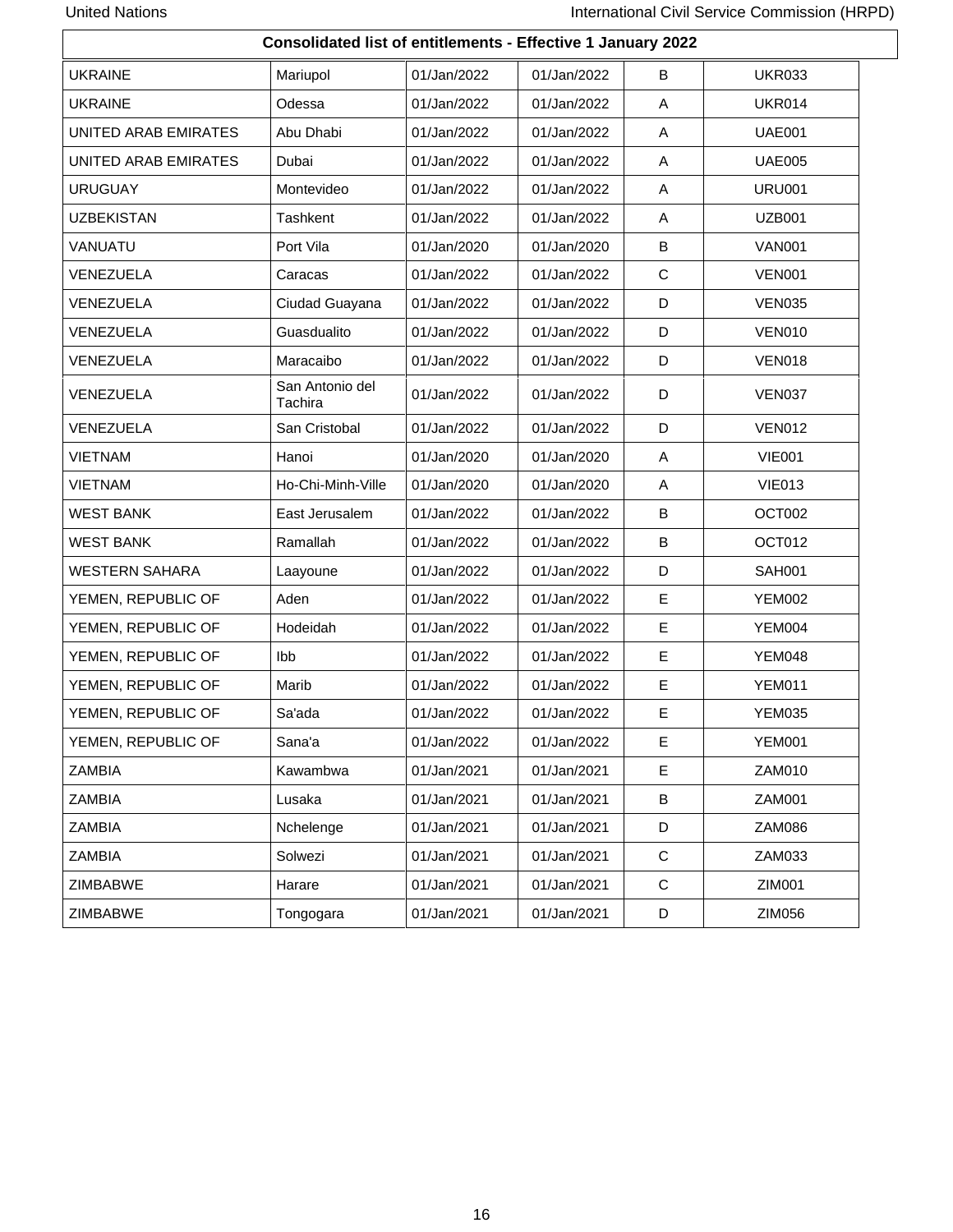| Consolidated list of entitlements - Effective 1 January 2022 |                            |             |             |              |               |
|--------------------------------------------------------------|----------------------------|-------------|-------------|--------------|---------------|
| <b>UKRAINE</b>                                               | Mariupol                   | 01/Jan/2022 | 01/Jan/2022 | B            | <b>UKR033</b> |
| <b>UKRAINE</b>                                               | Odessa                     | 01/Jan/2022 | 01/Jan/2022 | Α            | <b>UKR014</b> |
| <b>UNITED ARAB EMIRATES</b>                                  | Abu Dhabi                  | 01/Jan/2022 | 01/Jan/2022 | Α            | <b>UAE001</b> |
| UNITED ARAB EMIRATES                                         | Dubai                      | 01/Jan/2022 | 01/Jan/2022 | A            | <b>UAE005</b> |
| <b>URUGUAY</b>                                               | Montevideo                 | 01/Jan/2022 | 01/Jan/2022 | Α            | <b>URU001</b> |
| <b>UZBEKISTAN</b>                                            | Tashkent                   | 01/Jan/2022 | 01/Jan/2022 | A            | <b>UZB001</b> |
| VANUATU                                                      | Port Vila                  | 01/Jan/2020 | 01/Jan/2020 | B            | <b>VAN001</b> |
| VENEZUELA                                                    | Caracas                    | 01/Jan/2022 | 01/Jan/2022 | $\mathsf{C}$ | <b>VEN001</b> |
| VENEZUELA                                                    | Ciudad Guayana             | 01/Jan/2022 | 01/Jan/2022 | D            | <b>VEN035</b> |
| VENEZUELA                                                    | Guasdualito                | 01/Jan/2022 | 01/Jan/2022 | D            | <b>VEN010</b> |
| VENEZUELA                                                    | Maracaibo                  | 01/Jan/2022 | 01/Jan/2022 | D            | <b>VEN018</b> |
| VENEZUELA                                                    | San Antonio del<br>Tachira | 01/Jan/2022 | 01/Jan/2022 | D            | <b>VEN037</b> |
| VENEZUELA                                                    | San Cristobal              | 01/Jan/2022 | 01/Jan/2022 | D            | <b>VEN012</b> |
| <b>VIETNAM</b>                                               | Hanoi                      | 01/Jan/2020 | 01/Jan/2020 | A            | <b>VIE001</b> |
| <b>VIETNAM</b>                                               | Ho-Chi-Minh-Ville          | 01/Jan/2020 | 01/Jan/2020 | Α            | <b>VIE013</b> |
| <b>WEST BANK</b>                                             | East Jerusalem             | 01/Jan/2022 | 01/Jan/2022 | B            | OCT002        |
| <b>WEST BANK</b>                                             | Ramallah                   | 01/Jan/2022 | 01/Jan/2022 | B            | OCT012        |
| <b>WESTERN SAHARA</b>                                        | Laayoune                   | 01/Jan/2022 | 01/Jan/2022 | D            | <b>SAH001</b> |
| YEMEN, REPUBLIC OF                                           | Aden                       | 01/Jan/2022 | 01/Jan/2022 | E            | <b>YEM002</b> |
| YEMEN, REPUBLIC OF                                           | Hodeidah                   | 01/Jan/2022 | 01/Jan/2022 | E            | <b>YEM004</b> |
| YEMEN, REPUBLIC OF                                           | Ibb                        | 01/Jan/2022 | 01/Jan/2022 | E            | <b>YEM048</b> |
| YEMEN, REPUBLIC OF                                           | Marib                      | 01/Jan/2022 | 01/Jan/2022 | E            | <b>YEM011</b> |
| YEMEN, REPUBLIC OF                                           | Sa'ada                     | 01/Jan/2022 | 01/Jan/2022 | E            | <b>YEM035</b> |
| YEMEN, REPUBLIC OF                                           | Sana'a                     | 01/Jan/2022 | 01/Jan/2022 | $\mathsf E$  | <b>YEM001</b> |
| <b>ZAMBIA</b>                                                | Kawambwa                   | 01/Jan/2021 | 01/Jan/2021 | E            | ZAM010        |
| <b>ZAMBIA</b>                                                | Lusaka                     | 01/Jan/2021 | 01/Jan/2021 | В            | <b>ZAM001</b> |
| ZAMBIA                                                       | Nchelenge                  | 01/Jan/2021 | 01/Jan/2021 | D            | <b>ZAM086</b> |
| ZAMBIA                                                       | Solwezi                    | 01/Jan/2021 | 01/Jan/2021 | $\mathbf C$  | ZAM033        |
| ZIMBABWE                                                     | Harare                     | 01/Jan/2021 | 01/Jan/2021 | $\mathbf C$  | ZIM001        |
| ZIMBABWE                                                     | Tongogara                  | 01/Jan/2021 | 01/Jan/2021 | D            | ZIM056        |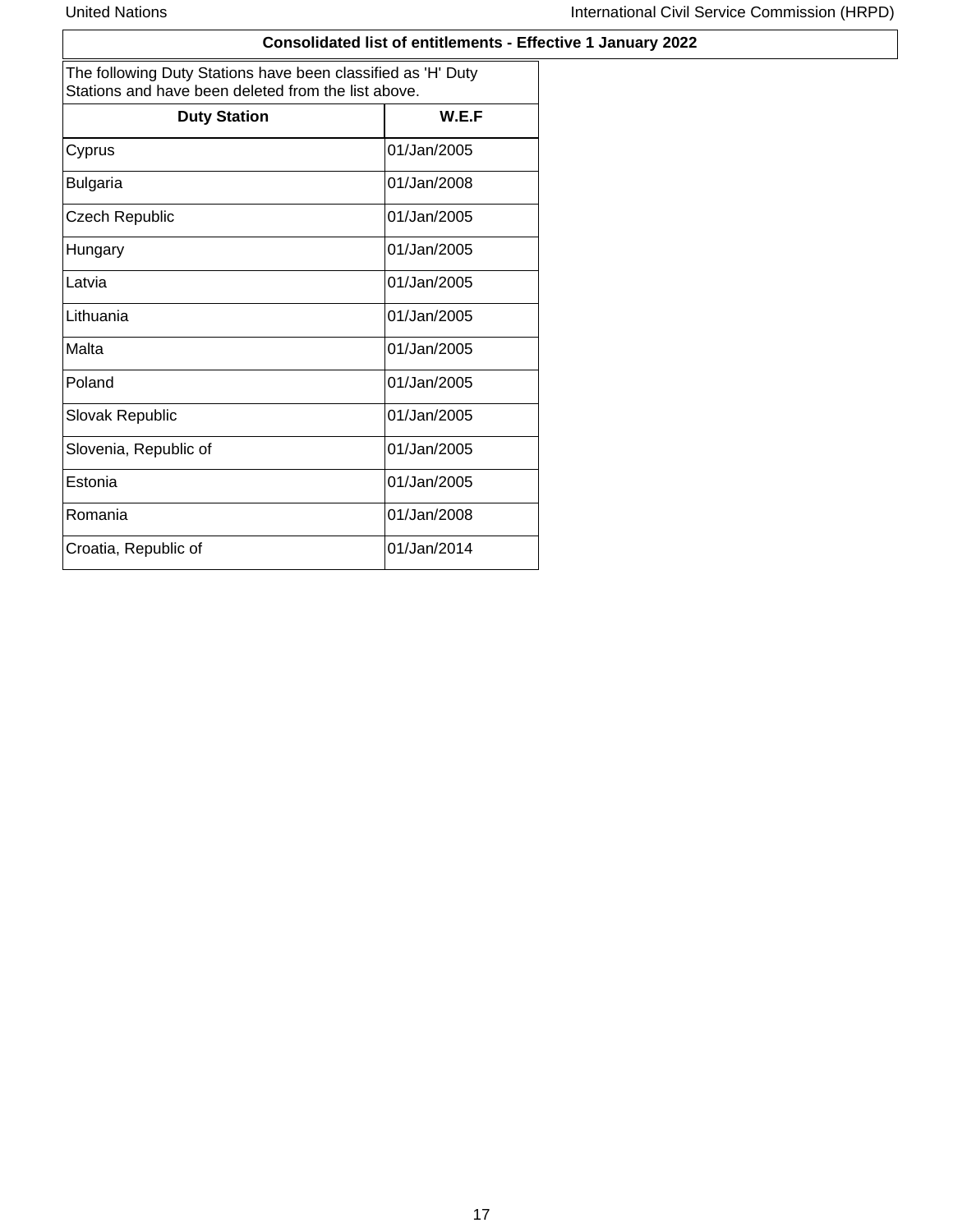### **Consolidated list of entitlements - Effective 1 January 2022**

|                       | The following Duty Stations have been classified as 'H' Duty<br>Stations and have been deleted from the list above. |  |  |  |  |
|-----------------------|---------------------------------------------------------------------------------------------------------------------|--|--|--|--|
| <b>Duty Station</b>   | W.E.F                                                                                                               |  |  |  |  |
| Cyprus                | 01/Jan/2005                                                                                                         |  |  |  |  |
| <b>Bulgaria</b>       | 01/Jan/2008                                                                                                         |  |  |  |  |
| <b>Czech Republic</b> | 01/Jan/2005                                                                                                         |  |  |  |  |
| Hungary               | 01/Jan/2005                                                                                                         |  |  |  |  |
| Latvia                | 01/Jan/2005                                                                                                         |  |  |  |  |
| Lithuania             | 01/Jan/2005                                                                                                         |  |  |  |  |
| Malta                 | 01/Jan/2005                                                                                                         |  |  |  |  |
| Poland                | 01/Jan/2005                                                                                                         |  |  |  |  |
| Slovak Republic       | 01/Jan/2005                                                                                                         |  |  |  |  |
| Slovenia, Republic of | 01/Jan/2005                                                                                                         |  |  |  |  |
| Estonia               | 01/Jan/2005                                                                                                         |  |  |  |  |
| Romania               | 01/Jan/2008                                                                                                         |  |  |  |  |
| Croatia, Republic of  | 01/Jan/2014                                                                                                         |  |  |  |  |